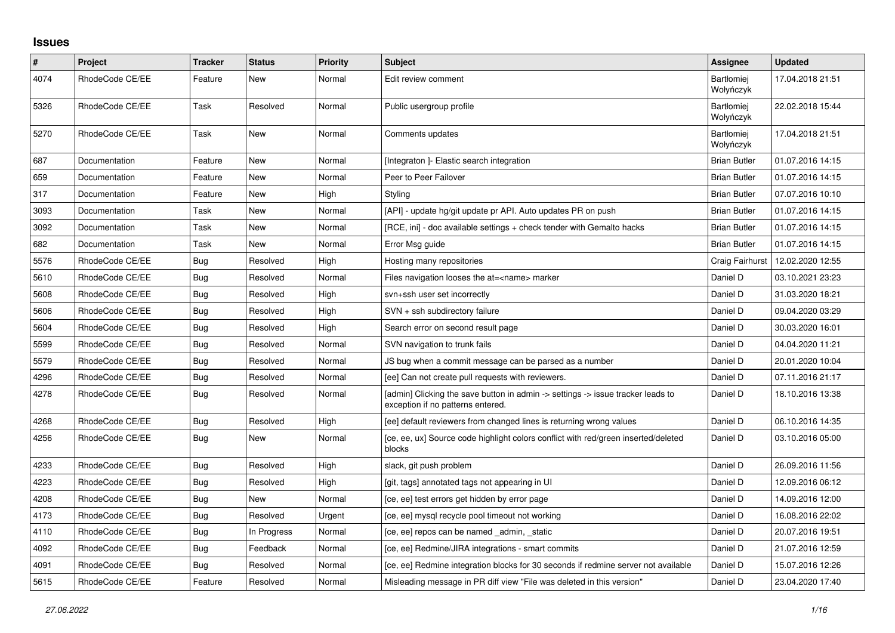## **Issues**

| $\pmb{\#}$ | Project         | <b>Tracker</b> | <b>Status</b> | <b>Priority</b> | <b>Subject</b>                                                                                                       | Assignee                       | <b>Updated</b>   |
|------------|-----------------|----------------|---------------|-----------------|----------------------------------------------------------------------------------------------------------------------|--------------------------------|------------------|
| 4074       | RhodeCode CE/EE | Feature        | New           | Normal          | Edit review comment                                                                                                  | <b>Bartłomiei</b><br>Wołyńczyk | 17.04.2018 21:51 |
| 5326       | RhodeCode CE/EE | Task           | Resolved      | Normal          | Public usergroup profile                                                                                             | <b>Bartłomiej</b><br>Wołyńczyk | 22.02.2018 15:44 |
| 5270       | RhodeCode CE/EE | Task           | New           | Normal          | Comments updates                                                                                                     | Bartłomiej<br>Wołyńczyk        | 17.04.2018 21:51 |
| 687        | Documentation   | Feature        | New           | Normal          | [Integraton] - Elastic search integration                                                                            | <b>Brian Butler</b>            | 01.07.2016 14:15 |
| 659        | Documentation   | Feature        | New           | Normal          | Peer to Peer Failover                                                                                                | <b>Brian Butler</b>            | 01.07.2016 14:15 |
| 317        | Documentation   | Feature        | New           | High            | Styling                                                                                                              | <b>Brian Butler</b>            | 07.07.2016 10:10 |
| 3093       | Documentation   | Task           | New           | Normal          | [API] - update hg/git update pr API. Auto updates PR on push                                                         | <b>Brian Butler</b>            | 01.07.2016 14:15 |
| 3092       | Documentation   | Task           | New           | Normal          | [RCE, ini] - doc available settings + check tender with Gemalto hacks                                                | <b>Brian Butler</b>            | 01.07.2016 14:15 |
| 682        | Documentation   | Task           | New           | Normal          | Error Msg guide                                                                                                      | <b>Brian Butler</b>            | 01.07.2016 14:15 |
| 5576       | RhodeCode CE/EE | Bug            | Resolved      | High            | Hosting many repositories                                                                                            | Craig Fairhurst                | 12.02.2020 12:55 |
| 5610       | RhodeCode CE/EE | Bug            | Resolved      | Normal          | Files navigation looses the at= <name> marker</name>                                                                 | Daniel D                       | 03.10.2021 23:23 |
| 5608       | RhodeCode CE/EE | Bug            | Resolved      | High            | svn+ssh user set incorrectly                                                                                         | Daniel D                       | 31.03.2020 18:21 |
| 5606       | RhodeCode CE/EE | Bug            | Resolved      | High            | SVN + ssh subdirectory failure                                                                                       | Daniel D                       | 09.04.2020 03:29 |
| 5604       | RhodeCode CE/EE | <b>Bug</b>     | Resolved      | High            | Search error on second result page                                                                                   | Daniel D                       | 30.03.2020 16:01 |
| 5599       | RhodeCode CE/EE | <b>Bug</b>     | Resolved      | Normal          | SVN navigation to trunk fails                                                                                        | Daniel D                       | 04.04.2020 11:21 |
| 5579       | RhodeCode CE/EE | Bug            | Resolved      | Normal          | JS bug when a commit message can be parsed as a number                                                               | Daniel D                       | 20.01.2020 10:04 |
| 4296       | RhodeCode CE/EE | Bug            | Resolved      | Normal          | [ee] Can not create pull requests with reviewers.                                                                    | Daniel D                       | 07.11.2016 21:17 |
| 4278       | RhodeCode CE/EE | Bug            | Resolved      | Normal          | [admin] Clicking the save button in admin -> settings -> issue tracker leads to<br>exception if no patterns entered. | Daniel D                       | 18.10.2016 13:38 |
| 4268       | RhodeCode CE/EE | <b>Bug</b>     | Resolved      | High            | [ee] default reviewers from changed lines is returning wrong values                                                  | Daniel D                       | 06.10.2016 14:35 |
| 4256       | RhodeCode CE/EE | <b>Bug</b>     | New           | Normal          | [ce, ee, ux] Source code highlight colors conflict with red/green inserted/deleted<br>blocks                         | Daniel D                       | 03.10.2016 05:00 |
| 4233       | RhodeCode CE/EE | Bug            | Resolved      | High            | slack, git push problem                                                                                              | Daniel D                       | 26.09.2016 11:56 |
| 4223       | RhodeCode CE/EE | Bug            | Resolved      | High            | [git, tags] annotated tags not appearing in UI                                                                       | Daniel D                       | 12.09.2016 06:12 |
| 4208       | RhodeCode CE/EE | Bug            | New           | Normal          | [ce, ee] test errors get hidden by error page                                                                        | Daniel D                       | 14.09.2016 12:00 |
| 4173       | RhodeCode CE/EE | Bug            | Resolved      | Urgent          | [ce, ee] mysql recycle pool timeout not working                                                                      | Daniel D                       | 16.08.2016 22:02 |
| 4110       | RhodeCode CE/EE | Bug            | In Progress   | Normal          | [ce, ee] repos can be named _admin, _static                                                                          | Daniel D                       | 20.07.2016 19:51 |
| 4092       | RhodeCode CE/EE | <b>Bug</b>     | Feedback      | Normal          | [ce, ee] Redmine/JIRA integrations - smart commits                                                                   | Daniel D                       | 21.07.2016 12:59 |
| 4091       | RhodeCode CE/EE | Bug            | Resolved      | Normal          | [ce, ee] Redmine integration blocks for 30 seconds if redmine server not available                                   | Daniel D                       | 15.07.2016 12:26 |
| 5615       | RhodeCode CE/EE | Feature        | Resolved      | Normal          | Misleading message in PR diff view "File was deleted in this version"                                                | Daniel D                       | 23.04.2020 17:40 |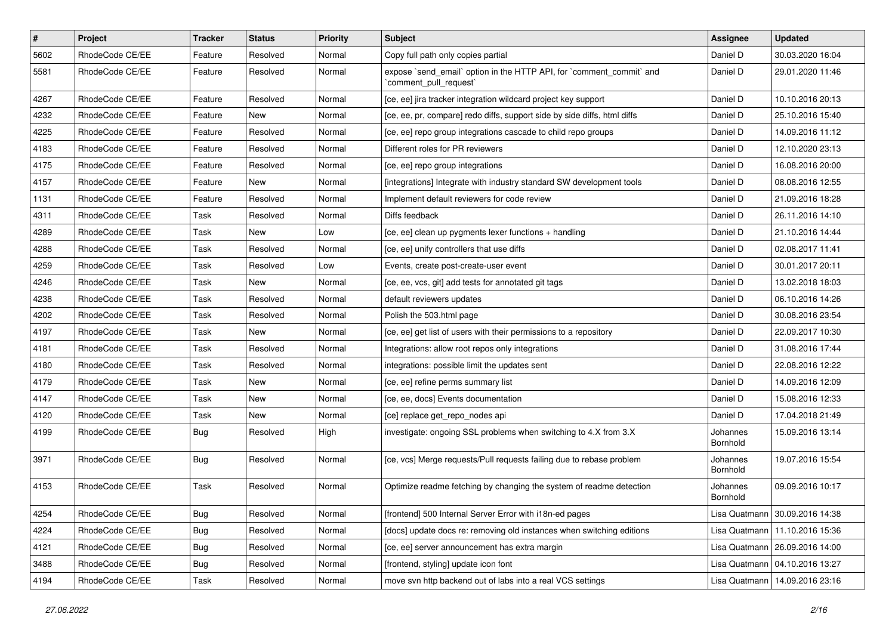| $\pmb{\#}$ | Project         | Tracker    | <b>Status</b> | <b>Priority</b> | Subject                                                                                        | <b>Assignee</b>      | <b>Updated</b>                   |
|------------|-----------------|------------|---------------|-----------------|------------------------------------------------------------------------------------------------|----------------------|----------------------------------|
| 5602       | RhodeCode CE/EE | Feature    | Resolved      | Normal          | Copy full path only copies partial                                                             | Daniel D             | 30.03.2020 16:04                 |
| 5581       | RhodeCode CE/EE | Feature    | Resolved      | Normal          | expose `send_email` option in the HTTP API, for `comment_commit` and<br>`comment_pull_request` | Daniel D             | 29.01.2020 11:46                 |
| 4267       | RhodeCode CE/EE | Feature    | Resolved      | Normal          | [ce, ee] jira tracker integration wildcard project key support                                 | Daniel D             | 10.10.2016 20:13                 |
| 4232       | RhodeCode CE/EE | Feature    | New           | Normal          | [ce, ee, pr, compare] redo diffs, support side by side diffs, html diffs                       | Daniel D             | 25.10.2016 15:40                 |
| 4225       | RhodeCode CE/EE | Feature    | Resolved      | Normal          | [ce, ee] repo group integrations cascade to child repo groups                                  | Daniel D             | 14.09.2016 11:12                 |
| 4183       | RhodeCode CE/EE | Feature    | Resolved      | Normal          | Different roles for PR reviewers                                                               | Daniel D             | 12.10.2020 23:13                 |
| 4175       | RhodeCode CE/EE | Feature    | Resolved      | Normal          | [ce, ee] repo group integrations                                                               | Daniel D             | 16.08.2016 20:00                 |
| 4157       | RhodeCode CE/EE | Feature    | New           | Normal          | [integrations] Integrate with industry standard SW development tools                           | Daniel D             | 08.08.2016 12:55                 |
| 1131       | RhodeCode CE/EE | Feature    | Resolved      | Normal          | Implement default reviewers for code review                                                    | Daniel D             | 21.09.2016 18:28                 |
| 4311       | RhodeCode CE/EE | Task       | Resolved      | Normal          | Diffs feedback                                                                                 | Daniel D             | 26.11.2016 14:10                 |
| 4289       | RhodeCode CE/EE | Task       | New           | Low             | [ce, ee] clean up pygments lexer functions + handling                                          | Daniel D             | 21.10.2016 14:44                 |
| 4288       | RhodeCode CE/EE | Task       | Resolved      | Normal          | [ce, ee] unify controllers that use diffs                                                      | Daniel D             | 02.08.2017 11:41                 |
| 4259       | RhodeCode CE/EE | Task       | Resolved      | Low             | Events, create post-create-user event                                                          | Daniel D             | 30.01.2017 20:11                 |
| 4246       | RhodeCode CE/EE | Task       | New           | Normal          | [ce, ee, vcs, git] add tests for annotated git tags                                            | Daniel D             | 13.02.2018 18:03                 |
| 4238       | RhodeCode CE/EE | Task       | Resolved      | Normal          | default reviewers updates                                                                      | Daniel D             | 06.10.2016 14:26                 |
| 4202       | RhodeCode CE/EE | Task       | Resolved      | Normal          | Polish the 503.html page                                                                       | Daniel D             | 30.08.2016 23:54                 |
| 4197       | RhodeCode CE/EE | Task       | <b>New</b>    | Normal          | [ce, ee] get list of users with their permissions to a repository                              | Daniel D             | 22.09.2017 10:30                 |
| 4181       | RhodeCode CE/EE | Task       | Resolved      | Normal          | Integrations: allow root repos only integrations                                               | Daniel D             | 31.08.2016 17:44                 |
| 4180       | RhodeCode CE/EE | Task       | Resolved      | Normal          | integrations: possible limit the updates sent                                                  | Daniel D             | 22.08.2016 12:22                 |
| 4179       | RhodeCode CE/EE | Task       | New           | Normal          | [ce, ee] refine perms summary list                                                             | Daniel D             | 14.09.2016 12:09                 |
| 4147       | RhodeCode CE/EE | Task       | New           | Normal          | [ce, ee, docs] Events documentation                                                            | Daniel D             | 15.08.2016 12:33                 |
| 4120       | RhodeCode CE/EE | Task       | New           | Normal          | [ce] replace get_repo_nodes api                                                                | Daniel D             | 17.04.2018 21:49                 |
| 4199       | RhodeCode CE/EE | Bug        | Resolved      | High            | investigate: ongoing SSL problems when switching to 4.X from 3.X                               | Johannes<br>Bornhold | 15.09.2016 13:14                 |
| 3971       | RhodeCode CE/EE | <b>Bug</b> | Resolved      | Normal          | [ce, vcs] Merge requests/Pull requests failing due to rebase problem                           | Johannes<br>Bornhold | 19.07.2016 15:54                 |
| 4153       | RhodeCode CE/EE | Task       | Resolved      | Normal          | Optimize readme fetching by changing the system of readme detection                            | Johannes<br>Bornhold | 09.09.2016 10:17                 |
| 4254       | RhodeCode CE/EE | <b>Bug</b> | Resolved      | Normal          | [frontend] 500 Internal Server Error with i18n-ed pages                                        |                      | Lisa Quatmann   30.09.2016 14:38 |
| 4224       | RhodeCode CE/EE | Bug        | Resolved      | Normal          | [docs] update docs re: removing old instances when switching editions                          |                      | Lisa Quatmann   11.10.2016 15:36 |
| 4121       | RhodeCode CE/EE | <b>Bug</b> | Resolved      | Normal          | [ce, ee] server announcement has extra margin                                                  |                      | Lisa Quatmann   26.09.2016 14:00 |
| 3488       | RhodeCode CE/EE | Bug        | Resolved      | Normal          | [frontend, styling] update icon font                                                           |                      | Lisa Quatmann   04.10.2016 13:27 |
| 4194       | RhodeCode CE/EE | Task       | Resolved      | Normal          | move svn http backend out of labs into a real VCS settings                                     |                      | Lisa Quatmann   14.09.2016 23:16 |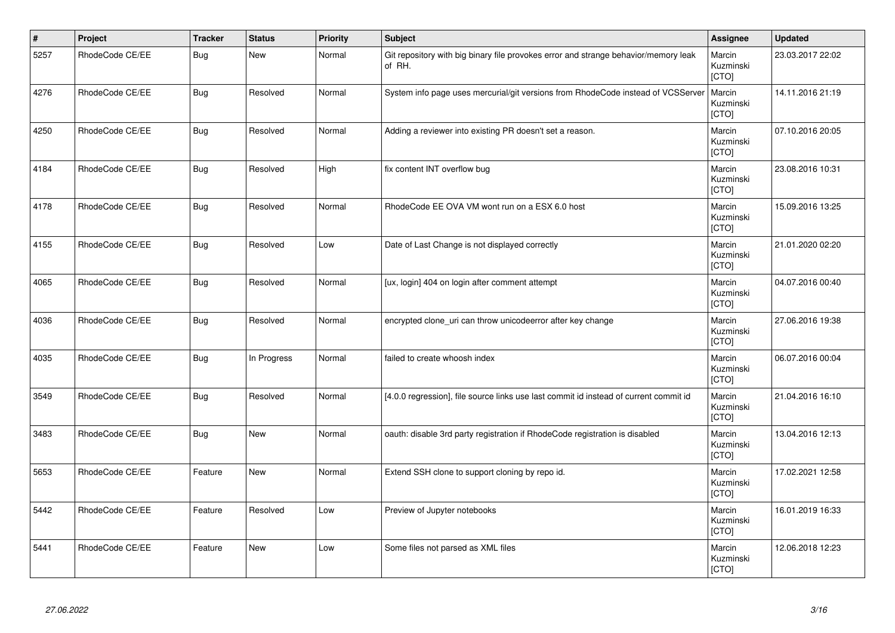| $\vert$ # | Project         | <b>Tracker</b> | <b>Status</b> | <b>Priority</b> | <b>Subject</b>                                                                                | Assignee                            | <b>Updated</b>   |
|-----------|-----------------|----------------|---------------|-----------------|-----------------------------------------------------------------------------------------------|-------------------------------------|------------------|
| 5257      | RhodeCode CE/EE | <b>Bug</b>     | New           | Normal          | Git repository with big binary file provokes error and strange behavior/memory leak<br>of RH. | Marcin<br>Kuzminski<br>[CTO]        | 23.03.2017 22:02 |
| 4276      | RhodeCode CE/EE | Bug            | Resolved      | Normal          | System info page uses mercurial/git versions from RhodeCode instead of VCSServer              | Marcin<br>Kuzminski<br>[CTO]        | 14.11.2016 21:19 |
| 4250      | RhodeCode CE/EE | <b>Bug</b>     | Resolved      | Normal          | Adding a reviewer into existing PR doesn't set a reason.                                      | Marcin<br>Kuzminski<br>[CTO]        | 07.10.2016 20:05 |
| 4184      | RhodeCode CE/EE | Bug            | Resolved      | High            | fix content INT overflow bug                                                                  | Marcin<br>Kuzminski<br>[CTO]        | 23.08.2016 10:31 |
| 4178      | RhodeCode CE/EE | Bug            | Resolved      | Normal          | RhodeCode EE OVA VM wont run on a ESX 6.0 host                                                | Marcin<br>Kuzminski<br><b>[CTO]</b> | 15.09.2016 13:25 |
| 4155      | RhodeCode CE/EE | <b>Bug</b>     | Resolved      | Low             | Date of Last Change is not displayed correctly                                                | Marcin<br>Kuzminski<br>[CTO]        | 21.01.2020 02:20 |
| 4065      | RhodeCode CE/EE | Bug            | Resolved      | Normal          | [ux, login] 404 on login after comment attempt                                                | Marcin<br>Kuzminski<br>[CTO]        | 04.07.2016 00:40 |
| 4036      | RhodeCode CE/EE | <b>Bug</b>     | Resolved      | Normal          | encrypted clone_uri can throw unicodeerror after key change                                   | Marcin<br>Kuzminski<br>[CTO]        | 27.06.2016 19:38 |
| 4035      | RhodeCode CE/EE | Bug            | In Progress   | Normal          | failed to create whoosh index                                                                 | Marcin<br>Kuzminski<br>[CTO]        | 06.07.2016 00:04 |
| 3549      | RhodeCode CE/EE | <b>Bug</b>     | Resolved      | Normal          | [4.0.0 regression], file source links use last commit id instead of current commit id         | Marcin<br>Kuzminski<br>[CTO]        | 21.04.2016 16:10 |
| 3483      | RhodeCode CE/EE | <b>Bug</b>     | <b>New</b>    | Normal          | oauth: disable 3rd party registration if RhodeCode registration is disabled                   | Marcin<br>Kuzminski<br>[CTO]        | 13.04.2016 12:13 |
| 5653      | RhodeCode CE/EE | Feature        | <b>New</b>    | Normal          | Extend SSH clone to support cloning by repo id.                                               | Marcin<br>Kuzminski<br>[CTO]        | 17.02.2021 12:58 |
| 5442      | RhodeCode CE/EE | Feature        | Resolved      | Low             | Preview of Jupyter notebooks                                                                  | Marcin<br>Kuzminski<br>[CTO]        | 16.01.2019 16:33 |
| 5441      | RhodeCode CE/EE | Feature        | <b>New</b>    | Low             | Some files not parsed as XML files                                                            | Marcin<br>Kuzminski<br>[CTO]        | 12.06.2018 12:23 |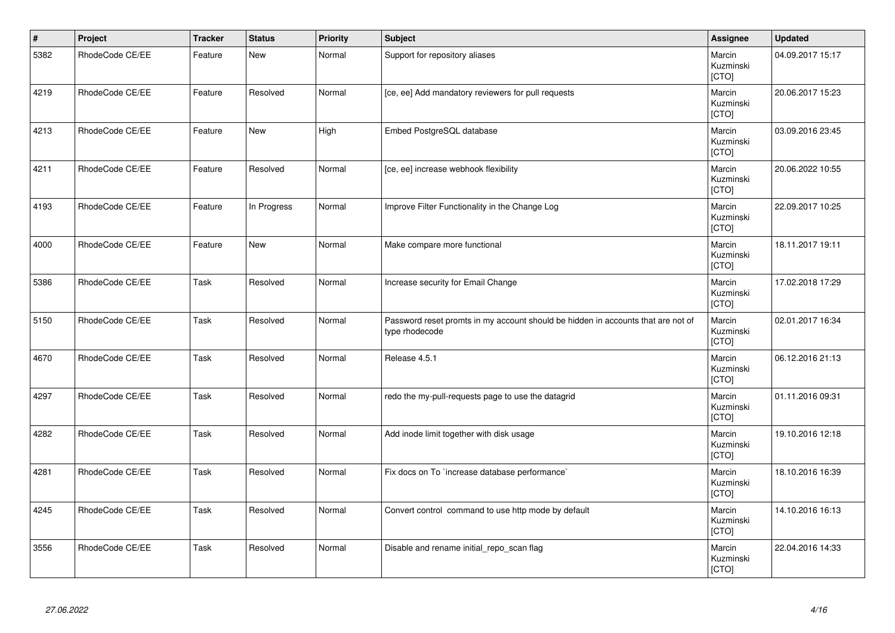| $\vert$ # | Project         | <b>Tracker</b> | <b>Status</b> | <b>Priority</b> | <b>Subject</b>                                                                                     | Assignee                     | <b>Updated</b>   |
|-----------|-----------------|----------------|---------------|-----------------|----------------------------------------------------------------------------------------------------|------------------------------|------------------|
| 5382      | RhodeCode CE/EE | Feature        | <b>New</b>    | Normal          | Support for repository aliases                                                                     | Marcin<br>Kuzminski<br>[CTO] | 04.09.2017 15:17 |
| 4219      | RhodeCode CE/EE | Feature        | Resolved      | Normal          | [ce, ee] Add mandatory reviewers for pull requests                                                 | Marcin<br>Kuzminski<br>[CTO] | 20.06.2017 15:23 |
| 4213      | RhodeCode CE/EE | Feature        | <b>New</b>    | High            | Embed PostgreSQL database                                                                          | Marcin<br>Kuzminski<br>[CTO] | 03.09.2016 23:45 |
| 4211      | RhodeCode CE/EE | Feature        | Resolved      | Normal          | [ce, ee] increase webhook flexibility                                                              | Marcin<br>Kuzminski<br>[CTO] | 20.06.2022 10:55 |
| 4193      | RhodeCode CE/EE | Feature        | In Progress   | Normal          | Improve Filter Functionality in the Change Log                                                     | Marcin<br>Kuzminski<br>[CTO] | 22.09.2017 10:25 |
| 4000      | RhodeCode CE/EE | Feature        | New           | Normal          | Make compare more functional                                                                       | Marcin<br>Kuzminski<br>[CTO] | 18.11.2017 19:11 |
| 5386      | RhodeCode CE/EE | Task           | Resolved      | Normal          | Increase security for Email Change                                                                 | Marcin<br>Kuzminski<br>[CTO] | 17.02.2018 17:29 |
| 5150      | RhodeCode CE/EE | Task           | Resolved      | Normal          | Password reset promts in my account should be hidden in accounts that are not of<br>type rhodecode | Marcin<br>Kuzminski<br>[CTO] | 02.01.2017 16:34 |
| 4670      | RhodeCode CE/EE | Task           | Resolved      | Normal          | Release 4.5.1                                                                                      | Marcin<br>Kuzminski<br>[CTO] | 06.12.2016 21:13 |
| 4297      | RhodeCode CE/EE | Task           | Resolved      | Normal          | redo the my-pull-requests page to use the datagrid                                                 | Marcin<br>Kuzminski<br>[CTO] | 01.11.2016 09:31 |
| 4282      | RhodeCode CE/EE | Task           | Resolved      | Normal          | Add inode limit together with disk usage                                                           | Marcin<br>Kuzminski<br>[CTO] | 19.10.2016 12:18 |
| 4281      | RhodeCode CE/EE | Task           | Resolved      | Normal          | Fix docs on To `increase database performance`                                                     | Marcin<br>Kuzminski<br>[CTO] | 18.10.2016 16:39 |
| 4245      | RhodeCode CE/EE | Task           | Resolved      | Normal          | Convert control command to use http mode by default                                                | Marcin<br>Kuzminski<br>[CTO] | 14.10.2016 16:13 |
| 3556      | RhodeCode CE/EE | Task           | Resolved      | Normal          | Disable and rename initial_repo_scan flag                                                          | Marcin<br>Kuzminski<br>[CTO] | 22.04.2016 14:33 |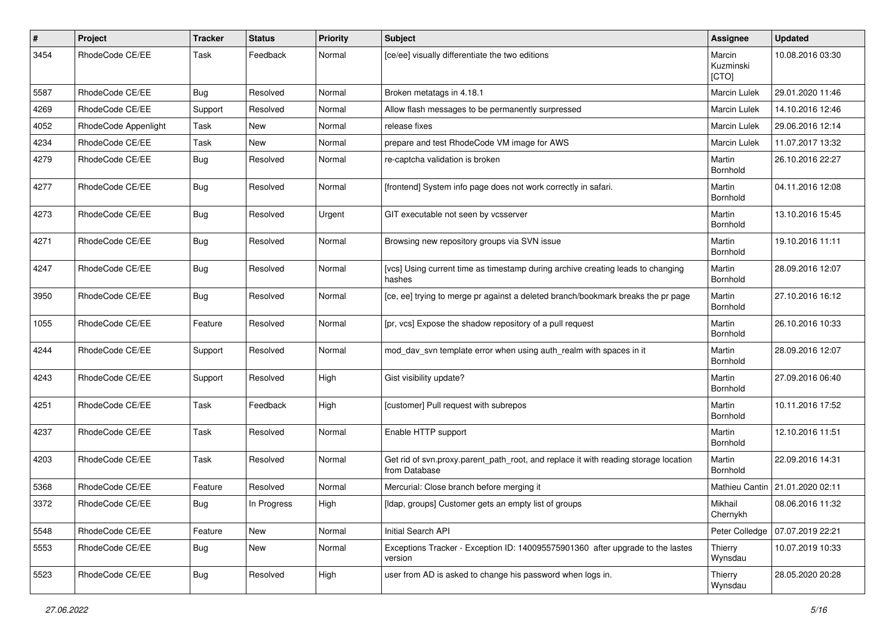| #    | Project              | <b>Tracker</b> | <b>Status</b> | <b>Priority</b> | <b>Subject</b>                                                                                       | Assignee                     | <b>Updated</b>                  |
|------|----------------------|----------------|---------------|-----------------|------------------------------------------------------------------------------------------------------|------------------------------|---------------------------------|
| 3454 | RhodeCode CE/EE      | Task           | Feedback      | Normal          | [ce/ee] visually differentiate the two editions                                                      | Marcin<br>Kuzminski<br>[CTO] | 10.08.2016 03:30                |
| 5587 | RhodeCode CE/EE      | <b>Bug</b>     | Resolved      | Normal          | Broken metatags in 4.18.1                                                                            | <b>Marcin Lulek</b>          | 29.01.2020 11:46                |
| 4269 | RhodeCode CE/EE      | Support        | Resolved      | Normal          | Allow flash messages to be permanently surpressed                                                    | Marcin Lulek                 | 14.10.2016 12:46                |
| 4052 | RhodeCode Appenlight | Task           | New           | Normal          | release fixes                                                                                        | Marcin Lulek                 | 29.06.2016 12:14                |
| 4234 | RhodeCode CE/EE      | Task           | New           | Normal          | prepare and test RhodeCode VM image for AWS                                                          | <b>Marcin Lulek</b>          | 11.07.2017 13:32                |
| 4279 | RhodeCode CE/EE      | Bug            | Resolved      | Normal          | re-captcha validation is broken                                                                      | Martin<br>Bornhold           | 26.10.2016 22:27                |
| 4277 | RhodeCode CE/EE      | Bug            | Resolved      | Normal          | [frontend] System info page does not work correctly in safari.                                       | Martin<br>Bornhold           | 04.11.2016 12:08                |
| 4273 | RhodeCode CE/EE      | Bug            | Resolved      | Urgent          | GIT executable not seen by vcsserver                                                                 | Martin<br>Bornhold           | 13.10.2016 15:45                |
| 4271 | RhodeCode CE/EE      | Bug            | Resolved      | Normal          | Browsing new repository groups via SVN issue                                                         | Martin<br>Bornhold           | 19.10.2016 11:11                |
| 4247 | RhodeCode CE/EE      | Bug            | Resolved      | Normal          | [vcs] Using current time as timestamp during archive creating leads to changing<br>hashes            | Martin<br>Bornhold           | 28.09.2016 12:07                |
| 3950 | RhodeCode CE/EE      | Bug            | Resolved      | Normal          | [ce, ee] trying to merge pr against a deleted branch/bookmark breaks the pr page                     | Martin<br>Bornhold           | 27.10.2016 16:12                |
| 1055 | RhodeCode CE/EE      | Feature        | Resolved      | Normal          | [pr, vcs] Expose the shadow repository of a pull request                                             | Martin<br>Bornhold           | 26.10.2016 10:33                |
| 4244 | RhodeCode CE/EE      | Support        | Resolved      | Normal          | mod_dav_svn template error when using auth_realm with spaces in it                                   | Martin<br>Bornhold           | 28.09.2016 12:07                |
| 4243 | RhodeCode CE/EE      | Support        | Resolved      | High            | Gist visibility update?                                                                              | Martin<br>Bornhold           | 27.09.2016 06:40                |
| 4251 | RhodeCode CE/EE      | Task           | Feedback      | High            | [customer] Pull request with subrepos                                                                | Martin<br>Bornhold           | 10.11.2016 17:52                |
| 4237 | RhodeCode CE/EE      | Task           | Resolved      | Normal          | Enable HTTP support                                                                                  | Martin<br>Bornhold           | 12.10.2016 11:51                |
| 4203 | RhodeCode CE/EE      | Task           | Resolved      | Normal          | Get rid of svn.proxy.parent_path_root, and replace it with reading storage location<br>from Database | Martin<br>Bornhold           | 22.09.2016 14:31                |
| 5368 | RhodeCode CE/EE      | Feature        | Resolved      | Normal          | Mercurial: Close branch before merging it                                                            |                              | Mathieu Cantin 21.01.2020 02:11 |
| 3372 | RhodeCode CE/EE      | Bug            | In Progress   | High            | [Idap, groups] Customer gets an empty list of groups                                                 | Mikhail<br>Chernykh          | 08.06.2016 11:32                |
| 5548 | RhodeCode CE/EE      | Feature        | New           | Normal          | Initial Search API                                                                                   | Peter Colledge               | 07.07.2019 22:21                |
| 5553 | RhodeCode CE/EE      | <b>Bug</b>     | New           | Normal          | Exceptions Tracker - Exception ID: 140095575901360 after upgrade to the lastes<br>version            | Thierry<br>Wynsdau           | 10.07.2019 10:33                |
| 5523 | RhodeCode CE/EE      | Bug            | Resolved      | High            | user from AD is asked to change his password when logs in.                                           | Thierry<br>Wynsdau           | 28.05.2020 20:28                |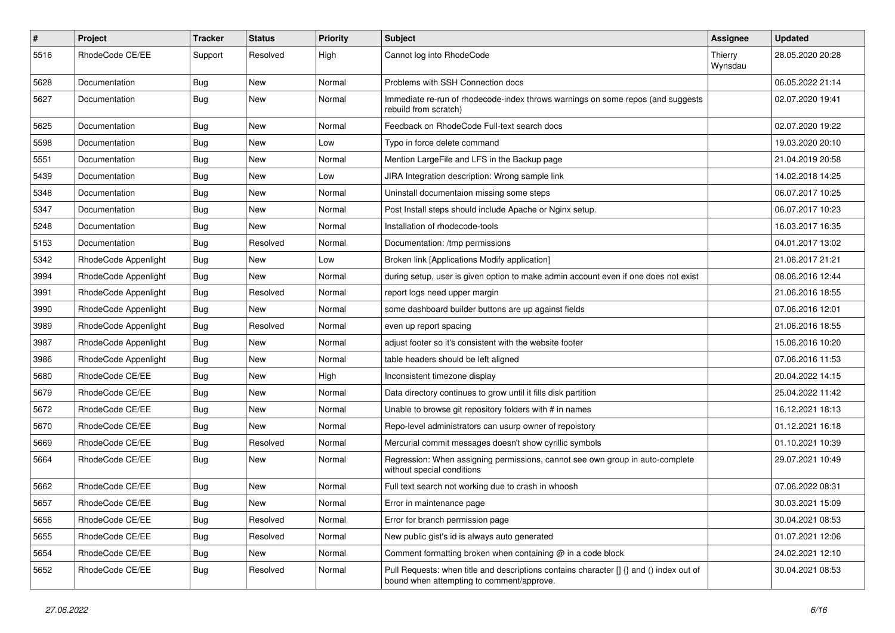| $\#$ | Project              | Tracker    | <b>Status</b> | <b>Priority</b> | <b>Subject</b>                                                                                                                       | Assignee           | <b>Updated</b>   |
|------|----------------------|------------|---------------|-----------------|--------------------------------------------------------------------------------------------------------------------------------------|--------------------|------------------|
| 5516 | RhodeCode CE/EE      | Support    | Resolved      | High            | Cannot log into RhodeCode                                                                                                            | Thierry<br>Wynsdau | 28.05.2020 20:28 |
| 5628 | Documentation        | <b>Bug</b> | New           | Normal          | Problems with SSH Connection docs                                                                                                    |                    | 06.05.2022 21:14 |
| 5627 | Documentation        | Bug        | New           | Normal          | Immediate re-run of rhodecode-index throws warnings on some repos (and suggests<br>rebuild from scratch)                             |                    | 02.07.2020 19:41 |
| 5625 | Documentation        | Bug        | New           | Normal          | Feedback on RhodeCode Full-text search docs                                                                                          |                    | 02.07.2020 19:22 |
| 5598 | Documentation        | <b>Bug</b> | New           | Low             | Typo in force delete command                                                                                                         |                    | 19.03.2020 20:10 |
| 5551 | Documentation        | <b>Bug</b> | New           | Normal          | Mention LargeFile and LFS in the Backup page                                                                                         |                    | 21.04.2019 20:58 |
| 5439 | Documentation        | <b>Bug</b> | New           | Low             | JIRA Integration description: Wrong sample link                                                                                      |                    | 14.02.2018 14:25 |
| 5348 | Documentation        | Bug        | <b>New</b>    | Normal          | Uninstall documentaion missing some steps                                                                                            |                    | 06.07.2017 10:25 |
| 5347 | Documentation        | <b>Bug</b> | New           | Normal          | Post Install steps should include Apache or Nginx setup.                                                                             |                    | 06.07.2017 10:23 |
| 5248 | Documentation        | <b>Bug</b> | New           | Normal          | Installation of rhodecode-tools                                                                                                      |                    | 16.03.2017 16:35 |
| 5153 | Documentation        | Bug        | Resolved      | Normal          | Documentation: /tmp permissions                                                                                                      |                    | 04.01.2017 13:02 |
| 5342 | RhodeCode Appenlight | <b>Bug</b> | New           | Low             | Broken link [Applications Modify application]                                                                                        |                    | 21.06.2017 21:21 |
| 3994 | RhodeCode Appenlight | Bug        | New           | Normal          | during setup, user is given option to make admin account even if one does not exist                                                  |                    | 08.06.2016 12:44 |
| 3991 | RhodeCode Appenlight | <b>Bug</b> | Resolved      | Normal          | report logs need upper margin                                                                                                        |                    | 21.06.2016 18:55 |
| 3990 | RhodeCode Appenlight | Bug        | New           | Normal          | some dashboard builder buttons are up against fields                                                                                 |                    | 07.06.2016 12:01 |
| 3989 | RhodeCode Appenlight | <b>Bug</b> | Resolved      | Normal          | even up report spacing                                                                                                               |                    | 21.06.2016 18:55 |
| 3987 | RhodeCode Appenlight | <b>Bug</b> | New           | Normal          | adjust footer so it's consistent with the website footer                                                                             |                    | 15.06.2016 10:20 |
| 3986 | RhodeCode Appenlight | Bug        | New           | Normal          | table headers should be left aligned                                                                                                 |                    | 07.06.2016 11:53 |
| 5680 | RhodeCode CE/EE      | Bug        | New           | High            | Inconsistent timezone display                                                                                                        |                    | 20.04.2022 14:15 |
| 5679 | RhodeCode CE/EE      | <b>Bug</b> | New           | Normal          | Data directory continues to grow until it fills disk partition                                                                       |                    | 25.04.2022 11:42 |
| 5672 | RhodeCode CE/EE      | Bug        | New           | Normal          | Unable to browse git repository folders with # in names                                                                              |                    | 16.12.2021 18:13 |
| 5670 | RhodeCode CE/EE      | <b>Bug</b> | New           | Normal          | Repo-level administrators can usurp owner of repoistory                                                                              |                    | 01.12.2021 16:18 |
| 5669 | RhodeCode CE/EE      | <b>Bug</b> | Resolved      | Normal          | Mercurial commit messages doesn't show cyrillic symbols                                                                              |                    | 01.10.2021 10:39 |
| 5664 | RhodeCode CE/EE      | Bug        | New           | Normal          | Regression: When assigning permissions, cannot see own group in auto-complete<br>without special conditions                          |                    | 29.07.2021 10:49 |
| 5662 | RhodeCode CE/EE      | <b>Bug</b> | New           | Normal          | Full text search not working due to crash in whoosh                                                                                  |                    | 07.06.2022 08:31 |
| 5657 | RhodeCode CE/EE      | Bug        | New           | Normal          | Error in maintenance page                                                                                                            |                    | 30.03.2021 15:09 |
| 5656 | RhodeCode CE/EE      | Bug        | Resolved      | Normal          | Error for branch permission page                                                                                                     |                    | 30.04.2021 08:53 |
| 5655 | RhodeCode CE/EE      | <b>Bug</b> | Resolved      | Normal          | New public gist's id is always auto generated                                                                                        |                    | 01.07.2021 12:06 |
| 5654 | RhodeCode CE/EE      | Bug        | New           | Normal          | Comment formatting broken when containing @ in a code block                                                                          |                    | 24.02.2021 12:10 |
| 5652 | RhodeCode CE/EE      | Bug        | Resolved      | Normal          | Pull Requests: when title and descriptions contains character [] {} and () index out of<br>bound when attempting to comment/approve. |                    | 30.04.2021 08:53 |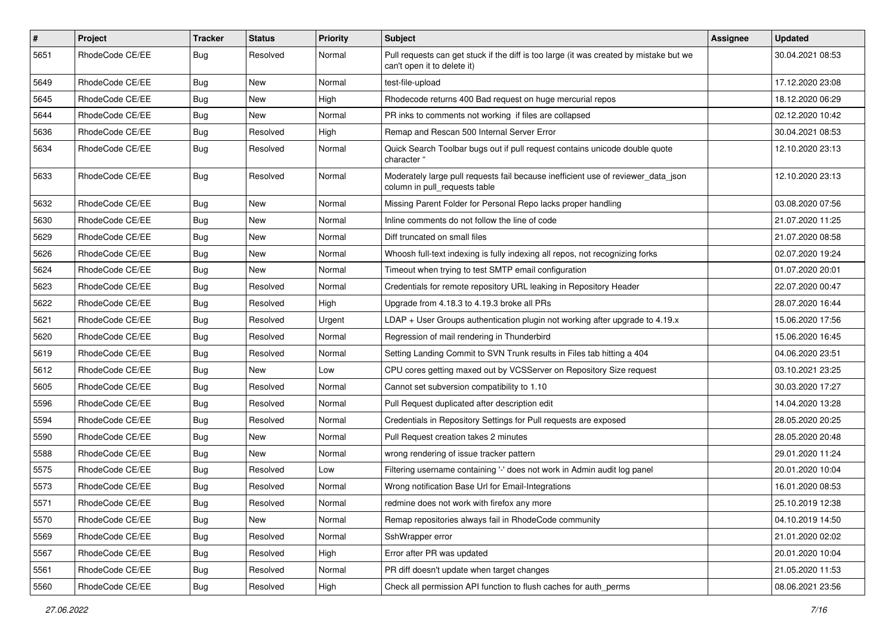| $\pmb{\#}$ | <b>Project</b>  | <b>Tracker</b> | <b>Status</b> | <b>Priority</b> | <b>Subject</b>                                                                                                        | <b>Assignee</b> | <b>Updated</b>   |
|------------|-----------------|----------------|---------------|-----------------|-----------------------------------------------------------------------------------------------------------------------|-----------------|------------------|
| 5651       | RhodeCode CE/EE | Bug            | Resolved      | Normal          | Pull requests can get stuck if the diff is too large (it was created by mistake but we<br>can't open it to delete it) |                 | 30.04.2021 08:53 |
| 5649       | RhodeCode CE/EE | Bug            | New           | Normal          | test-file-upload                                                                                                      |                 | 17.12.2020 23:08 |
| 5645       | RhodeCode CE/EE | <b>Bug</b>     | New           | High            | Rhodecode returns 400 Bad request on huge mercurial repos                                                             |                 | 18.12.2020 06:29 |
| 5644       | RhodeCode CE/EE | Bug            | <b>New</b>    | Normal          | PR inks to comments not working if files are collapsed                                                                |                 | 02.12.2020 10:42 |
| 5636       | RhodeCode CE/EE | <b>Bug</b>     | Resolved      | High            | Remap and Rescan 500 Internal Server Error                                                                            |                 | 30.04.2021 08:53 |
| 5634       | RhodeCode CE/EE | Bug            | Resolved      | Normal          | Quick Search Toolbar bugs out if pull request contains unicode double quote<br>character "                            |                 | 12.10.2020 23:13 |
| 5633       | RhodeCode CE/EE | Bug            | Resolved      | Normal          | Moderately large pull requests fail because inefficient use of reviewer_data_json<br>column in pull requests table    |                 | 12.10.2020 23:13 |
| 5632       | RhodeCode CE/EE | Bug            | New           | Normal          | Missing Parent Folder for Personal Repo lacks proper handling                                                         |                 | 03.08.2020 07:56 |
| 5630       | RhodeCode CE/EE | <b>Bug</b>     | New           | Normal          | Inline comments do not follow the line of code                                                                        |                 | 21.07.2020 11:25 |
| 5629       | RhodeCode CE/EE | Bug            | <b>New</b>    | Normal          | Diff truncated on small files                                                                                         |                 | 21.07.2020 08:58 |
| 5626       | RhodeCode CE/EE | Bug            | New           | Normal          | Whoosh full-text indexing is fully indexing all repos, not recognizing forks                                          |                 | 02.07.2020 19:24 |
| 5624       | RhodeCode CE/EE | Bug            | New           | Normal          | Timeout when trying to test SMTP email configuration                                                                  |                 | 01.07.2020 20:01 |
| 5623       | RhodeCode CE/EE | Bug            | Resolved      | Normal          | Credentials for remote repository URL leaking in Repository Header                                                    |                 | 22.07.2020 00:47 |
| 5622       | RhodeCode CE/EE | Bug            | Resolved      | High            | Upgrade from 4.18.3 to 4.19.3 broke all PRs                                                                           |                 | 28.07.2020 16:44 |
| 5621       | RhodeCode CE/EE | Bug            | Resolved      | Urgent          | $LDAP + User Groups authentication plugin not working after upgrade to 4.19.x$                                        |                 | 15.06.2020 17:56 |
| 5620       | RhodeCode CE/EE | Bug            | Resolved      | Normal          | Regression of mail rendering in Thunderbird                                                                           |                 | 15.06.2020 16:45 |
| 5619       | RhodeCode CE/EE | Bug            | Resolved      | Normal          | Setting Landing Commit to SVN Trunk results in Files tab hitting a 404                                                |                 | 04.06.2020 23:51 |
| 5612       | RhodeCode CE/EE | Bug            | New           | Low             | CPU cores getting maxed out by VCSServer on Repository Size request                                                   |                 | 03.10.2021 23:25 |
| 5605       | RhodeCode CE/EE | <b>Bug</b>     | Resolved      | Normal          | Cannot set subversion compatibility to 1.10                                                                           |                 | 30.03.2020 17:27 |
| 5596       | RhodeCode CE/EE | <b>Bug</b>     | Resolved      | Normal          | Pull Request duplicated after description edit                                                                        |                 | 14.04.2020 13:28 |
| 5594       | RhodeCode CE/EE | Bug            | Resolved      | Normal          | Credentials in Repository Settings for Pull requests are exposed                                                      |                 | 28.05.2020 20:25 |
| 5590       | RhodeCode CE/EE | <b>Bug</b>     | New           | Normal          | Pull Request creation takes 2 minutes                                                                                 |                 | 28.05.2020 20:48 |
| 5588       | RhodeCode CE/EE | Bug            | New           | Normal          | wrong rendering of issue tracker pattern                                                                              |                 | 29.01.2020 11:24 |
| 5575       | RhodeCode CE/EE | <b>Bug</b>     | Resolved      | Low             | Filtering username containing '-' does not work in Admin audit log panel                                              |                 | 20.01.2020 10:04 |
| 5573       | RhodeCode CE/EE | <b>Bug</b>     | Resolved      | Normal          | Wrong notification Base Url for Email-Integrations                                                                    |                 | 16.01.2020 08:53 |
| 5571       | RhodeCode CE/EE | Bug            | Resolved      | Normal          | redmine does not work with firefox any more                                                                           |                 | 25.10.2019 12:38 |
| 5570       | RhodeCode CE/EE | Bug            | New           | Normal          | Remap repositories always fail in RhodeCode community                                                                 |                 | 04.10.2019 14:50 |
| 5569       | RhodeCode CE/EE | Bug            | Resolved      | Normal          | SshWrapper error                                                                                                      |                 | 21.01.2020 02:02 |
| 5567       | RhodeCode CE/EE | <b>Bug</b>     | Resolved      | High            | Error after PR was updated                                                                                            |                 | 20.01.2020 10:04 |
| 5561       | RhodeCode CE/EE | Bug            | Resolved      | Normal          | PR diff doesn't update when target changes                                                                            |                 | 21.05.2020 11:53 |
| 5560       | RhodeCode CE/EE | <b>Bug</b>     | Resolved      | High            | Check all permission API function to flush caches for auth perms                                                      |                 | 08.06.2021 23:56 |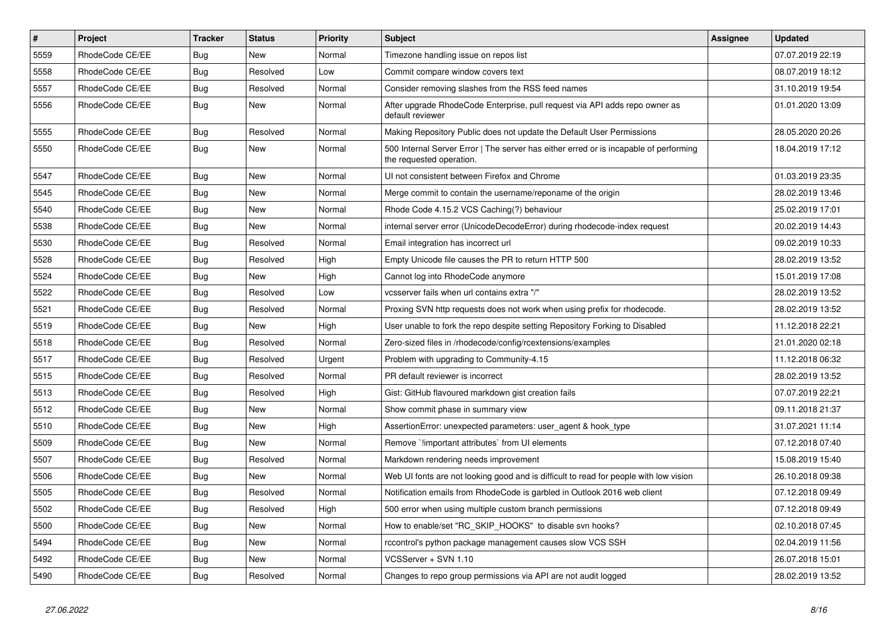| $\pmb{\#}$ | Project         | <b>Tracker</b> | <b>Status</b> | <b>Priority</b> | <b>Subject</b>                                                                                                    | <b>Assignee</b> | <b>Updated</b>   |
|------------|-----------------|----------------|---------------|-----------------|-------------------------------------------------------------------------------------------------------------------|-----------------|------------------|
| 5559       | RhodeCode CE/EE | Bug            | New           | Normal          | Timezone handling issue on repos list                                                                             |                 | 07.07.2019 22:19 |
| 5558       | RhodeCode CE/EE | Bug            | Resolved      | Low             | Commit compare window covers text                                                                                 |                 | 08.07.2019 18:12 |
| 5557       | RhodeCode CE/EE | Bug            | Resolved      | Normal          | Consider removing slashes from the RSS feed names                                                                 |                 | 31.10.2019 19:54 |
| 5556       | RhodeCode CE/EE | Bug            | <b>New</b>    | Normal          | After upgrade RhodeCode Enterprise, pull request via API adds repo owner as<br>default reviewer                   |                 | 01.01.2020 13:09 |
| 5555       | RhodeCode CE/EE | Bug            | Resolved      | Normal          | Making Repository Public does not update the Default User Permissions                                             |                 | 28.05.2020 20:26 |
| 5550       | RhodeCode CE/EE | Bug            | New           | Normal          | 500 Internal Server Error   The server has either erred or is incapable of performing<br>the requested operation. |                 | 18.04.2019 17:12 |
| 5547       | RhodeCode CE/EE | Bug            | <b>New</b>    | Normal          | UI not consistent between Firefox and Chrome                                                                      |                 | 01.03.2019 23:35 |
| 5545       | RhodeCode CE/EE | Bug            | New           | Normal          | Merge commit to contain the username/reponame of the origin                                                       |                 | 28.02.2019 13:46 |
| 5540       | RhodeCode CE/EE | <b>Bug</b>     | New           | Normal          | Rhode Code 4.15.2 VCS Caching(?) behaviour                                                                        |                 | 25.02.2019 17:01 |
| 5538       | RhodeCode CE/EE | Bug            | <b>New</b>    | Normal          | internal server error (UnicodeDecodeError) during rhodecode-index request                                         |                 | 20.02.2019 14:43 |
| 5530       | RhodeCode CE/EE | Bug            | Resolved      | Normal          | Email integration has incorrect url                                                                               |                 | 09.02.2019 10:33 |
| 5528       | RhodeCode CE/EE | Bug            | Resolved      | High            | Empty Unicode file causes the PR to return HTTP 500                                                               |                 | 28.02.2019 13:52 |
| 5524       | RhodeCode CE/EE | Bug            | <b>New</b>    | High            | Cannot log into RhodeCode anymore                                                                                 |                 | 15.01.2019 17:08 |
| 5522       | RhodeCode CE/EE | <b>Bug</b>     | Resolved      | Low             | vcsserver fails when url contains extra "/"                                                                       |                 | 28.02.2019 13:52 |
| 5521       | RhodeCode CE/EE | <b>Bug</b>     | Resolved      | Normal          | Proxing SVN http requests does not work when using prefix for rhodecode.                                          |                 | 28.02.2019 13:52 |
| 5519       | RhodeCode CE/EE | Bug            | New           | High            | User unable to fork the repo despite setting Repository Forking to Disabled                                       |                 | 11.12.2018 22:21 |
| 5518       | RhodeCode CE/EE | Bug            | Resolved      | Normal          | Zero-sized files in /rhodecode/config/rcextensions/examples                                                       |                 | 21.01.2020 02:18 |
| 5517       | RhodeCode CE/EE | Bug            | Resolved      | Urgent          | Problem with upgrading to Community-4.15                                                                          |                 | 11.12.2018 06:32 |
| 5515       | RhodeCode CE/EE | Bug            | Resolved      | Normal          | PR default reviewer is incorrect                                                                                  |                 | 28.02.2019 13:52 |
| 5513       | RhodeCode CE/EE | Bug            | Resolved      | High            | Gist: GitHub flavoured markdown gist creation fails                                                               |                 | 07.07.2019 22:21 |
| 5512       | RhodeCode CE/EE | Bug            | <b>New</b>    | Normal          | Show commit phase in summary view                                                                                 |                 | 09.11.2018 21:37 |
| 5510       | RhodeCode CE/EE | Bug            | <b>New</b>    | High            | AssertionError: unexpected parameters: user_agent & hook_type                                                     |                 | 31.07.2021 11:14 |
| 5509       | RhodeCode CE/EE | <b>Bug</b>     | <b>New</b>    | Normal          | Remove `!important attributes` from UI elements                                                                   |                 | 07.12.2018 07:40 |
| 5507       | RhodeCode CE/EE | Bug            | Resolved      | Normal          | Markdown rendering needs improvement                                                                              |                 | 15.08.2019 15:40 |
| 5506       | RhodeCode CE/EE | Bug            | New           | Normal          | Web UI fonts are not looking good and is difficult to read for people with low vision                             |                 | 26.10.2018 09:38 |
| 5505       | RhodeCode CE/EE | Bug            | Resolved      | Normal          | Notification emails from RhodeCode is garbled in Outlook 2016 web client                                          |                 | 07.12.2018 09:49 |
| 5502       | RhodeCode CE/EE | <b>Bug</b>     | Resolved      | High            | 500 error when using multiple custom branch permissions                                                           |                 | 07.12.2018 09:49 |
| 5500       | RhodeCode CE/EE | Bug            | New           | Normal          | How to enable/set "RC_SKIP_HOOKS" to disable svn hooks?                                                           |                 | 02.10.2018 07:45 |
| 5494       | RhodeCode CE/EE | <b>Bug</b>     | <b>New</b>    | Normal          | rccontrol's python package management causes slow VCS SSH                                                         |                 | 02.04.2019 11:56 |
| 5492       | RhodeCode CE/EE | Bug            | New           | Normal          | VCSServer + SVN 1.10                                                                                              |                 | 26.07.2018 15:01 |
| 5490       | RhodeCode CE/EE | <b>Bug</b>     | Resolved      | Normal          | Changes to repo group permissions via API are not audit logged                                                    |                 | 28.02.2019 13:52 |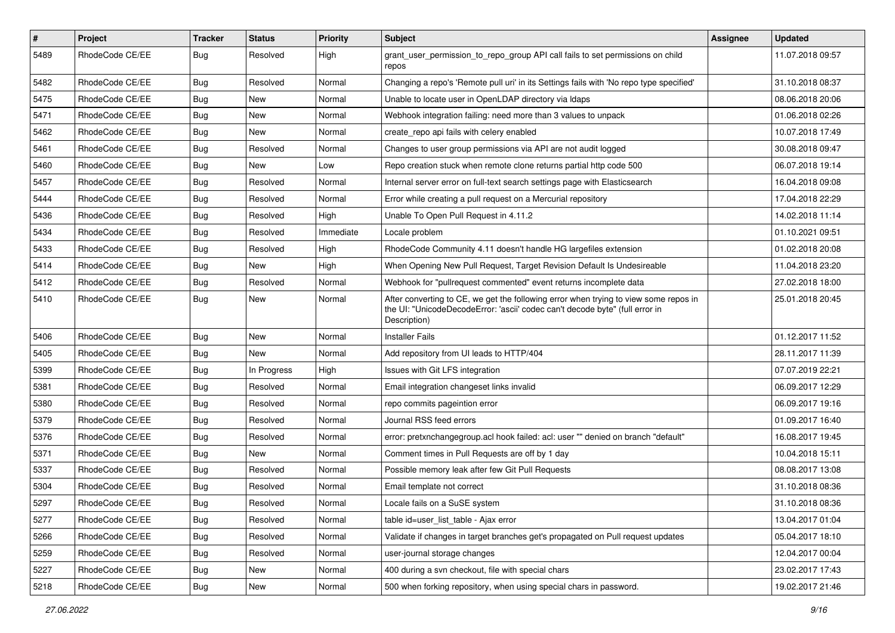| $\pmb{\#}$ | Project         | <b>Tracker</b> | <b>Status</b> | <b>Priority</b> | <b>Subject</b>                                                                                                                                                                       | <b>Assignee</b> | <b>Updated</b>   |
|------------|-----------------|----------------|---------------|-----------------|--------------------------------------------------------------------------------------------------------------------------------------------------------------------------------------|-----------------|------------------|
| 5489       | RhodeCode CE/EE | Bug            | Resolved      | High            | grant_user_permission_to_repo_group API call fails to set permissions on child<br>repos                                                                                              |                 | 11.07.2018 09:57 |
| 5482       | RhodeCode CE/EE | Bug            | Resolved      | Normal          | Changing a repo's 'Remote pull uri' in its Settings fails with 'No repo type specified'                                                                                              |                 | 31.10.2018 08:37 |
| 5475       | RhodeCode CE/EE | Bug            | New           | Normal          | Unable to locate user in OpenLDAP directory via Idaps                                                                                                                                |                 | 08.06.2018 20:06 |
| 5471       | RhodeCode CE/EE | Bug            | New           | Normal          | Webhook integration failing: need more than 3 values to unpack                                                                                                                       |                 | 01.06.2018 02:26 |
| 5462       | RhodeCode CE/EE | Bug            | <b>New</b>    | Normal          | create repo api fails with celery enabled                                                                                                                                            |                 | 10.07.2018 17:49 |
| 5461       | RhodeCode CE/EE | Bug            | Resolved      | Normal          | Changes to user group permissions via API are not audit logged                                                                                                                       |                 | 30.08.2018 09:47 |
| 5460       | RhodeCode CE/EE | Bug            | New           | Low             | Repo creation stuck when remote clone returns partial http code 500                                                                                                                  |                 | 06.07.2018 19:14 |
| 5457       | RhodeCode CE/EE | Bug            | Resolved      | Normal          | Internal server error on full-text search settings page with Elasticsearch                                                                                                           |                 | 16.04.2018 09:08 |
| 5444       | RhodeCode CE/EE | Bug            | Resolved      | Normal          | Error while creating a pull request on a Mercurial repository                                                                                                                        |                 | 17.04.2018 22:29 |
| 5436       | RhodeCode CE/EE | Bug            | Resolved      | High            | Unable To Open Pull Request in 4.11.2                                                                                                                                                |                 | 14.02.2018 11:14 |
| 5434       | RhodeCode CE/EE | Bug            | Resolved      | Immediate       | Locale problem                                                                                                                                                                       |                 | 01.10.2021 09:51 |
| 5433       | RhodeCode CE/EE | Bug            | Resolved      | High            | RhodeCode Community 4.11 doesn't handle HG largefiles extension                                                                                                                      |                 | 01.02.2018 20:08 |
| 5414       | RhodeCode CE/EE | Bug            | New           | High            | When Opening New Pull Request, Target Revision Default Is Undesireable                                                                                                               |                 | 11.04.2018 23:20 |
| 5412       | RhodeCode CE/EE | Bug            | Resolved      | Normal          | Webhook for "pullrequest commented" event returns incomplete data                                                                                                                    |                 | 27.02.2018 18:00 |
| 5410       | RhodeCode CE/EE | Bug            | New           | Normal          | After converting to CE, we get the following error when trying to view some repos in<br>the UI: "UnicodeDecodeError: 'ascii' codec can't decode byte" (full error in<br>Description) |                 | 25.01.2018 20:45 |
| 5406       | RhodeCode CE/EE | Bug            | New           | Normal          | <b>Installer Fails</b>                                                                                                                                                               |                 | 01.12.2017 11:52 |
| 5405       | RhodeCode CE/EE | Bug            | New           | Normal          | Add repository from UI leads to HTTP/404                                                                                                                                             |                 | 28.11.2017 11:39 |
| 5399       | RhodeCode CE/EE | Bug            | In Progress   | High            | Issues with Git LFS integration                                                                                                                                                      |                 | 07.07.2019 22:21 |
| 5381       | RhodeCode CE/EE | Bug            | Resolved      | Normal          | Email integration changeset links invalid                                                                                                                                            |                 | 06.09.2017 12:29 |
| 5380       | RhodeCode CE/EE | <b>Bug</b>     | Resolved      | Normal          | repo commits pageintion error                                                                                                                                                        |                 | 06.09.2017 19:16 |
| 5379       | RhodeCode CE/EE | Bug            | Resolved      | Normal          | Journal RSS feed errors                                                                                                                                                              |                 | 01.09.2017 16:40 |
| 5376       | RhodeCode CE/EE | <b>Bug</b>     | Resolved      | Normal          | error: pretxnchangegroup.acl hook failed: acl: user "" denied on branch "default"                                                                                                    |                 | 16.08.2017 19:45 |
| 5371       | RhodeCode CE/EE | Bug            | <b>New</b>    | Normal          | Comment times in Pull Requests are off by 1 day                                                                                                                                      |                 | 10.04.2018 15:11 |
| 5337       | RhodeCode CE/EE | Bug            | Resolved      | Normal          | Possible memory leak after few Git Pull Requests                                                                                                                                     |                 | 08.08.2017 13:08 |
| 5304       | RhodeCode CE/EE | Bug            | Resolved      | Normal          | Email template not correct                                                                                                                                                           |                 | 31.10.2018 08:36 |
| 5297       | RhodeCode CE/EE | Bug            | Resolved      | Normal          | Locale fails on a SuSE system                                                                                                                                                        |                 | 31.10.2018 08:36 |
| 5277       | RhodeCode CE/EE | Bug            | Resolved      | Normal          | table id=user list table - Ajax error                                                                                                                                                |                 | 13.04.2017 01:04 |
| 5266       | RhodeCode CE/EE | Bug            | Resolved      | Normal          | Validate if changes in target branches get's propagated on Pull request updates                                                                                                      |                 | 05.04.2017 18:10 |
| 5259       | RhodeCode CE/EE | Bug            | Resolved      | Normal          | user-journal storage changes                                                                                                                                                         |                 | 12.04.2017 00:04 |
| 5227       | RhodeCode CE/EE | Bug            | New           | Normal          | 400 during a svn checkout, file with special chars                                                                                                                                   |                 | 23.02.2017 17:43 |
| 5218       | RhodeCode CE/EE | <b>Bug</b>     | New           | Normal          | 500 when forking repository, when using special chars in password.                                                                                                                   |                 | 19.02.2017 21:46 |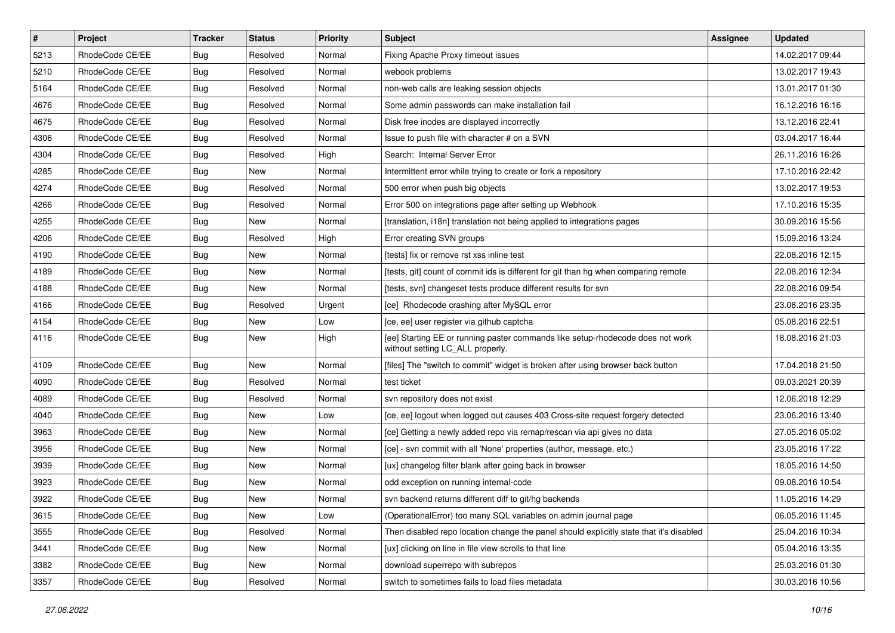| $\vert$ # | Project         | <b>Tracker</b> | <b>Status</b> | <b>Priority</b> | Subject                                                                                                            | <b>Assignee</b> | <b>Updated</b>   |
|-----------|-----------------|----------------|---------------|-----------------|--------------------------------------------------------------------------------------------------------------------|-----------------|------------------|
| 5213      | RhodeCode CE/EE | Bug            | Resolved      | Normal          | Fixing Apache Proxy timeout issues                                                                                 |                 | 14.02.2017 09:44 |
| 5210      | RhodeCode CE/EE | Bug            | Resolved      | Normal          | webook problems                                                                                                    |                 | 13.02.2017 19:43 |
| 5164      | RhodeCode CE/EE | Bug            | Resolved      | Normal          | non-web calls are leaking session objects                                                                          |                 | 13.01.2017 01:30 |
| 4676      | RhodeCode CE/EE | Bug            | Resolved      | Normal          | Some admin passwords can make installation fail                                                                    |                 | 16.12.2016 16:16 |
| 4675      | RhodeCode CE/EE | Bug            | Resolved      | Normal          | Disk free inodes are displayed incorrectly                                                                         |                 | 13.12.2016 22:41 |
| 4306      | RhodeCode CE/EE | Bug            | Resolved      | Normal          | Issue to push file with character # on a SVN                                                                       |                 | 03.04.2017 16:44 |
| 4304      | RhodeCode CE/EE | Bug            | Resolved      | High            | Search: Internal Server Error                                                                                      |                 | 26.11.2016 16:26 |
| 4285      | RhodeCode CE/EE | <b>Bug</b>     | New           | Normal          | Intermittent error while trying to create or fork a repository                                                     |                 | 17.10.2016 22:42 |
| 4274      | RhodeCode CE/EE | Bug            | Resolved      | Normal          | 500 error when push big objects                                                                                    |                 | 13.02.2017 19:53 |
| 4266      | RhodeCode CE/EE | Bug            | Resolved      | Normal          | Error 500 on integrations page after setting up Webhook                                                            |                 | 17.10.2016 15:35 |
| 4255      | RhodeCode CE/EE | Bug            | New           | Normal          | [translation, i18n] translation not being applied to integrations pages                                            |                 | 30.09.2016 15:56 |
| 4206      | RhodeCode CE/EE | <b>Bug</b>     | Resolved      | High            | Error creating SVN groups                                                                                          |                 | 15.09.2016 13:24 |
| 4190      | RhodeCode CE/EE | Bug            | <b>New</b>    | Normal          | [tests] fix or remove rst xss inline test                                                                          |                 | 22.08.2016 12:15 |
| 4189      | RhodeCode CE/EE | Bug            | New           | Normal          | [tests, git] count of commit ids is different for git than hg when comparing remote                                |                 | 22.08.2016 12:34 |
| 4188      | RhodeCode CE/EE | Bug            | <b>New</b>    | Normal          | [tests, svn] changeset tests produce different results for svn                                                     |                 | 22.08.2016 09:54 |
| 4166      | RhodeCode CE/EE | Bug            | Resolved      | Urgent          | [ce] Rhodecode crashing after MySQL error                                                                          |                 | 23.08.2016 23:35 |
| 4154      | RhodeCode CE/EE | Bug            | New           | Low             | [ce, ee] user register via github captcha                                                                          |                 | 05.08.2016 22:51 |
| 4116      | RhodeCode CE/EE | Bug            | <b>New</b>    | High            | [ee] Starting EE or running paster commands like setup-rhodecode does not work<br>without setting LC_ALL properly. |                 | 18.08.2016 21:03 |
| 4109      | RhodeCode CE/EE | Bug            | <b>New</b>    | Normal          | [files] The "switch to commit" widget is broken after using browser back button                                    |                 | 17.04.2018 21:50 |
| 4090      | RhodeCode CE/EE | Bug            | Resolved      | Normal          | test ticket                                                                                                        |                 | 09.03.2021 20:39 |
| 4089      | RhodeCode CE/EE | Bug            | Resolved      | Normal          | svn repository does not exist                                                                                      |                 | 12.06.2018 12:29 |
| 4040      | RhodeCode CE/EE | Bug            | <b>New</b>    | Low             | [ce, ee] logout when logged out causes 403 Cross-site request forgery detected                                     |                 | 23.06.2016 13:40 |
| 3963      | RhodeCode CE/EE | Bug            | New           | Normal          | [ce] Getting a newly added repo via remap/rescan via api gives no data                                             |                 | 27.05.2016 05:02 |
| 3956      | RhodeCode CE/EE | <b>Bug</b>     | New           | Normal          | [ce] - svn commit with all 'None' properties (author, message, etc.)                                               |                 | 23.05.2016 17:22 |
| 3939      | RhodeCode CE/EE | Bug            | <b>New</b>    | Normal          | [ux] changelog filter blank after going back in browser                                                            |                 | 18.05.2016 14:50 |
| 3923      | RhodeCode CE/EE | Bug            | New           | Normal          | odd exception on running internal-code                                                                             |                 | 09.08.2016 10:54 |
| 3922      | RhodeCode CE/EE | <b>Bug</b>     | New           | Normal          | syn backend returns different diff to git/hg backends                                                              |                 | 11.05.2016 14:29 |
| 3615      | RhodeCode CE/EE | Bug            | New           | Low             | (OperationalError) too many SQL variables on admin journal page                                                    |                 | 06.05.2016 11:45 |
| 3555      | RhodeCode CE/EE | <b>Bug</b>     | Resolved      | Normal          | Then disabled repo location change the panel should explicitly state that it's disabled                            |                 | 25.04.2016 10:34 |
| 3441      | RhodeCode CE/EE | <b>Bug</b>     | New           | Normal          | [ux] clicking on line in file view scrolls to that line                                                            |                 | 05.04.2016 13:35 |
| 3382      | RhodeCode CE/EE | <b>Bug</b>     | New           | Normal          | download superrepo with subrepos                                                                                   |                 | 25.03.2016 01:30 |
| 3357      | RhodeCode CE/EE | <b>Bug</b>     | Resolved      | Normal          | switch to sometimes fails to load files metadata                                                                   |                 | 30.03.2016 10:56 |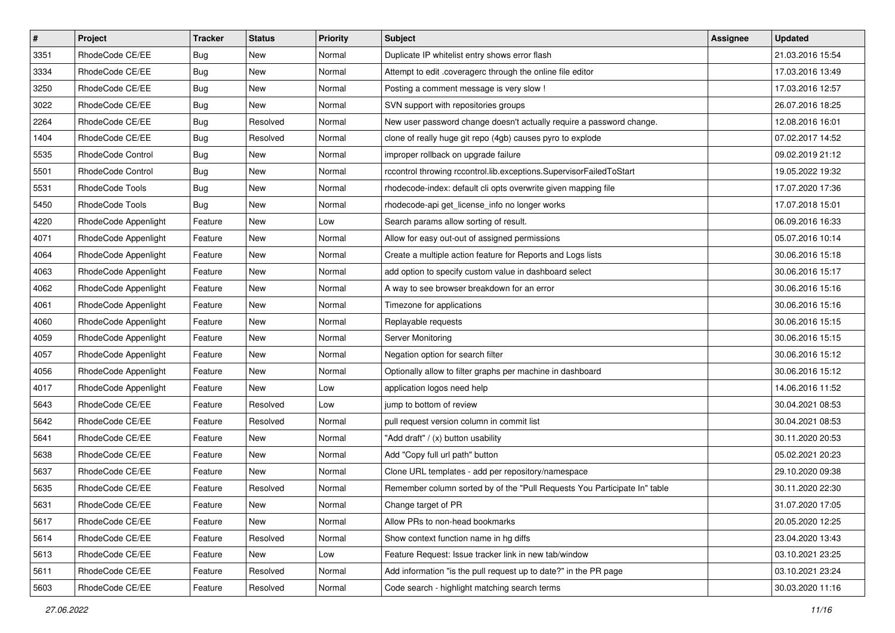| $\pmb{\#}$ | Project                | <b>Tracker</b> | <b>Status</b> | Priority | <b>Subject</b>                                                            | Assignee | <b>Updated</b>   |
|------------|------------------------|----------------|---------------|----------|---------------------------------------------------------------------------|----------|------------------|
| 3351       | RhodeCode CE/EE        | <b>Bug</b>     | New           | Normal   | Duplicate IP whitelist entry shows error flash                            |          | 21.03.2016 15:54 |
| 3334       | RhodeCode CE/EE        | Bug            | New           | Normal   | Attempt to edit .coveragerc through the online file editor                |          | 17.03.2016 13:49 |
| 3250       | RhodeCode CE/EE        | Bug            | New           | Normal   | Posting a comment message is very slow !                                  |          | 17.03.2016 12:57 |
| 3022       | RhodeCode CE/EE        | <b>Bug</b>     | New           | Normal   | SVN support with repositories groups                                      |          | 26.07.2016 18:25 |
| 2264       | RhodeCode CE/EE        | Bug            | Resolved      | Normal   | New user password change doesn't actually require a password change.      |          | 12.08.2016 16:01 |
| 1404       | RhodeCode CE/EE        | <b>Bug</b>     | Resolved      | Normal   | clone of really huge git repo (4gb) causes pyro to explode                |          | 07.02.2017 14:52 |
| 5535       | RhodeCode Control      | <b>Bug</b>     | New           | Normal   | improper rollback on upgrade failure                                      |          | 09.02.2019 21:12 |
| 5501       | RhodeCode Control      | Bug            | New           | Normal   | rccontrol throwing rccontrol.lib.exceptions.SupervisorFailedToStart       |          | 19.05.2022 19:32 |
| 5531       | <b>RhodeCode Tools</b> | <b>Bug</b>     | New           | Normal   | rhodecode-index: default cli opts overwrite given mapping file            |          | 17.07.2020 17:36 |
| 5450       | RhodeCode Tools        | <b>Bug</b>     | New           | Normal   | rhodecode-api get_license_info no longer works                            |          | 17.07.2018 15:01 |
| 4220       | RhodeCode Appenlight   | Feature        | New           | Low      | Search params allow sorting of result.                                    |          | 06.09.2016 16:33 |
| 4071       | RhodeCode Appenlight   | Feature        | New           | Normal   | Allow for easy out-out of assigned permissions                            |          | 05.07.2016 10:14 |
| 4064       | RhodeCode Appenlight   | Feature        | New           | Normal   | Create a multiple action feature for Reports and Logs lists               |          | 30.06.2016 15:18 |
| 4063       | RhodeCode Appenlight   | Feature        | New           | Normal   | add option to specify custom value in dashboard select                    |          | 30.06.2016 15:17 |
| 4062       | RhodeCode Appenlight   | Feature        | New           | Normal   | A way to see browser breakdown for an error                               |          | 30.06.2016 15:16 |
| 4061       | RhodeCode Appenlight   | Feature        | New           | Normal   | Timezone for applications                                                 |          | 30.06.2016 15:16 |
| 4060       | RhodeCode Appenlight   | Feature        | New           | Normal   | Replayable requests                                                       |          | 30.06.2016 15:15 |
| 4059       | RhodeCode Appenlight   | Feature        | <b>New</b>    | Normal   | Server Monitoring                                                         |          | 30.06.2016 15:15 |
| 4057       | RhodeCode Appenlight   | Feature        | New           | Normal   | Negation option for search filter                                         |          | 30.06.2016 15:12 |
| 4056       | RhodeCode Appenlight   | Feature        | New           | Normal   | Optionally allow to filter graphs per machine in dashboard                |          | 30.06.2016 15:12 |
| 4017       | RhodeCode Appenlight   | Feature        | New           | Low      | application logos need help                                               |          | 14.06.2016 11:52 |
| 5643       | RhodeCode CE/EE        | Feature        | Resolved      | Low      | jump to bottom of review                                                  |          | 30.04.2021 08:53 |
| 5642       | RhodeCode CE/EE        | Feature        | Resolved      | Normal   | pull request version column in commit list                                |          | 30.04.2021 08:53 |
| 5641       | RhodeCode CE/EE        | Feature        | New           | Normal   | "Add draft" / (x) button usability                                        |          | 30.11.2020 20:53 |
| 5638       | RhodeCode CE/EE        | Feature        | New           | Normal   | Add "Copy full url path" button                                           |          | 05.02.2021 20:23 |
| 5637       | RhodeCode CE/EE        | Feature        | New           | Normal   | Clone URL templates - add per repository/namespace                        |          | 29.10.2020 09:38 |
| 5635       | RhodeCode CE/EE        | Feature        | Resolved      | Normal   | Remember column sorted by of the "Pull Requests You Participate In" table |          | 30.11.2020 22:30 |
| 5631       | RhodeCode CE/EE        | Feature        | New           | Normal   | Change target of PR                                                       |          | 31.07.2020 17:05 |
| 5617       | RhodeCode CE/EE        | Feature        | New           | Normal   | Allow PRs to non-head bookmarks                                           |          | 20.05.2020 12:25 |
| 5614       | RhodeCode CE/EE        | Feature        | Resolved      | Normal   | Show context function name in hg diffs                                    |          | 23.04.2020 13:43 |
| 5613       | RhodeCode CE/EE        | Feature        | New           | Low      | Feature Request: Issue tracker link in new tab/window                     |          | 03.10.2021 23:25 |
| 5611       | RhodeCode CE/EE        | Feature        | Resolved      | Normal   | Add information "is the pull request up to date?" in the PR page          |          | 03.10.2021 23:24 |
| 5603       | RhodeCode CE/EE        | Feature        | Resolved      | Normal   | Code search - highlight matching search terms                             |          | 30.03.2020 11:16 |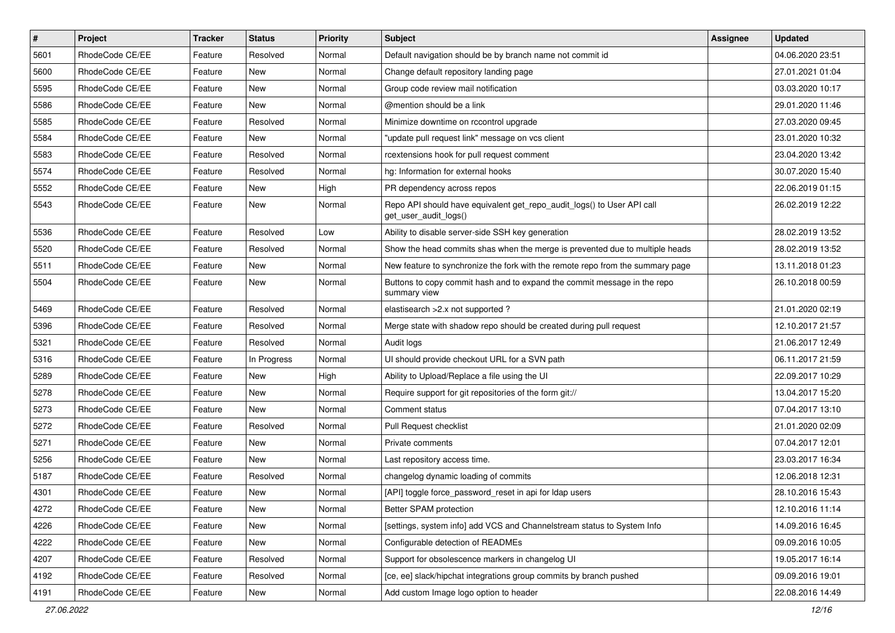| $\vert$ # | Project         | <b>Tracker</b> | <b>Status</b> | <b>Priority</b> | <b>Subject</b>                                                                                  | <b>Assignee</b> | <b>Updated</b>   |
|-----------|-----------------|----------------|---------------|-----------------|-------------------------------------------------------------------------------------------------|-----------------|------------------|
| 5601      | RhodeCode CE/EE | Feature        | Resolved      | Normal          | Default navigation should be by branch name not commit id                                       |                 | 04.06.2020 23:51 |
| 5600      | RhodeCode CE/EE | Feature        | <b>New</b>    | Normal          | Change default repository landing page                                                          |                 | 27.01.2021 01:04 |
| 5595      | RhodeCode CE/EE | Feature        | New           | Normal          | Group code review mail notification                                                             |                 | 03.03.2020 10:17 |
| 5586      | RhodeCode CE/EE | Feature        | New           | Normal          | @mention should be a link                                                                       |                 | 29.01.2020 11:46 |
| 5585      | RhodeCode CE/EE | Feature        | Resolved      | Normal          | Minimize downtime on rccontrol upgrade                                                          |                 | 27.03.2020 09:45 |
| 5584      | RhodeCode CE/EE | Feature        | New           | Normal          | "update pull request link" message on vcs client                                                |                 | 23.01.2020 10:32 |
| 5583      | RhodeCode CE/EE | Feature        | Resolved      | Normal          | rcextensions hook for pull request comment                                                      |                 | 23.04.2020 13:42 |
| 5574      | RhodeCode CE/EE | Feature        | Resolved      | Normal          | hg: Information for external hooks                                                              |                 | 30.07.2020 15:40 |
| 5552      | RhodeCode CE/EE | Feature        | New           | High            | PR dependency across repos                                                                      |                 | 22.06.2019 01:15 |
| 5543      | RhodeCode CE/EE | Feature        | New           | Normal          | Repo API should have equivalent get_repo_audit_logs() to User API call<br>get_user_audit_logs() |                 | 26.02.2019 12:22 |
| 5536      | RhodeCode CE/EE | Feature        | Resolved      | Low             | Ability to disable server-side SSH key generation                                               |                 | 28.02.2019 13:52 |
| 5520      | RhodeCode CE/EE | Feature        | Resolved      | Normal          | Show the head commits shas when the merge is prevented due to multiple heads                    |                 | 28.02.2019 13:52 |
| 5511      | RhodeCode CE/EE | Feature        | New           | Normal          | New feature to synchronize the fork with the remote repo from the summary page                  |                 | 13.11.2018 01:23 |
| 5504      | RhodeCode CE/EE | Feature        | New           | Normal          | Buttons to copy commit hash and to expand the commit message in the repo<br>summary view        |                 | 26.10.2018 00:59 |
| 5469      | RhodeCode CE/EE | Feature        | Resolved      | Normal          | elastisearch > 2.x not supported?                                                               |                 | 21.01.2020 02:19 |
| 5396      | RhodeCode CE/EE | Feature        | Resolved      | Normal          | Merge state with shadow repo should be created during pull request                              |                 | 12.10.2017 21:57 |
| 5321      | RhodeCode CE/EE | Feature        | Resolved      | Normal          | Audit logs                                                                                      |                 | 21.06.2017 12:49 |
| 5316      | RhodeCode CE/EE | Feature        | In Progress   | Normal          | UI should provide checkout URL for a SVN path                                                   |                 | 06.11.2017 21:59 |
| 5289      | RhodeCode CE/EE | Feature        | New           | High            | Ability to Upload/Replace a file using the UI                                                   |                 | 22.09.2017 10:29 |
| 5278      | RhodeCode CE/EE | Feature        | New           | Normal          | Require support for git repositories of the form git://                                         |                 | 13.04.2017 15:20 |
| 5273      | RhodeCode CE/EE | Feature        | New           | Normal          | Comment status                                                                                  |                 | 07.04.2017 13:10 |
| 5272      | RhodeCode CE/EE | Feature        | Resolved      | Normal          | Pull Request checklist                                                                          |                 | 21.01.2020 02:09 |
| 5271      | RhodeCode CE/EE | Feature        | New           | Normal          | Private comments                                                                                |                 | 07.04.2017 12:01 |
| 5256      | RhodeCode CE/EE | Feature        | New           | Normal          | Last repository access time.                                                                    |                 | 23.03.2017 16:34 |
| 5187      | RhodeCode CE/EE | Feature        | Resolved      | Normal          | changelog dynamic loading of commits                                                            |                 | 12.06.2018 12:31 |
| 4301      | RhodeCode CE/EE | Feature        | New           | Normal          | [API] toggle force_password_reset in api for Idap users                                         |                 | 28.10.2016 15:43 |
| 4272      | RhodeCode CE/EE | Feature        | New           | Normal          | Better SPAM protection                                                                          |                 | 12.10.2016 11:14 |
| 4226      | RhodeCode CE/EE | Feature        | New           | Normal          | [settings, system info] add VCS and Channelstream status to System Info                         |                 | 14.09.2016 16:45 |
| 4222      | RhodeCode CE/EE | Feature        | New           | Normal          | Configurable detection of READMEs                                                               |                 | 09.09.2016 10:05 |
| 4207      | RhodeCode CE/EE | Feature        | Resolved      | Normal          | Support for obsolescence markers in changelog UI                                                |                 | 19.05.2017 16:14 |
| 4192      | RhodeCode CE/EE | Feature        | Resolved      | Normal          | [ce, ee] slack/hipchat integrations group commits by branch pushed                              |                 | 09.09.2016 19:01 |
| 4191      | RhodeCode CE/EE | Feature        | New           | Normal          | Add custom Image logo option to header                                                          |                 | 22.08.2016 14:49 |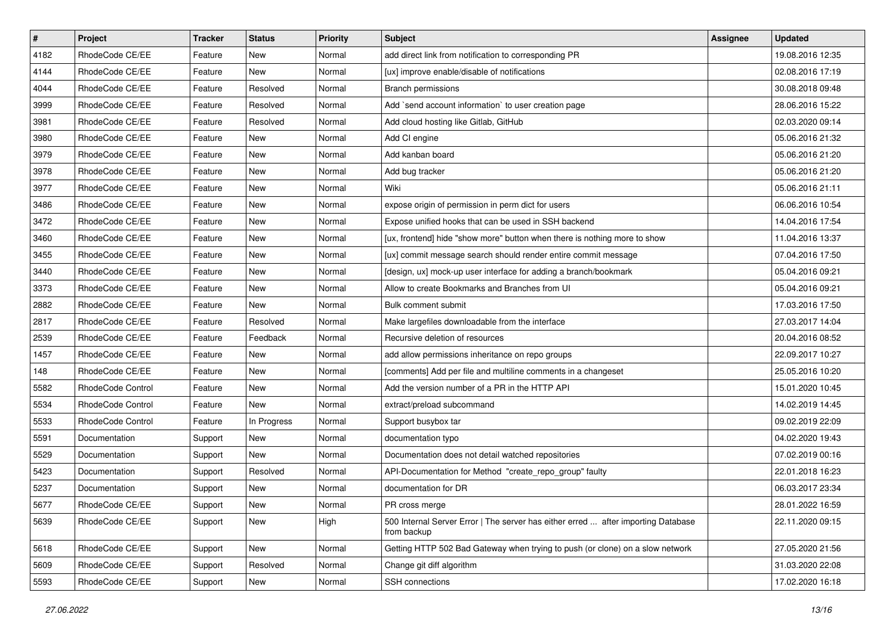| $\sharp$ | Project           | <b>Tracker</b> | <b>Status</b> | Priority | <b>Subject</b>                                                                                   | Assignee | <b>Updated</b>   |
|----------|-------------------|----------------|---------------|----------|--------------------------------------------------------------------------------------------------|----------|------------------|
| 4182     | RhodeCode CE/EE   | Feature        | New           | Normal   | add direct link from notification to corresponding PR                                            |          | 19.08.2016 12:35 |
| 4144     | RhodeCode CE/EE   | Feature        | New           | Normal   | [ux] improve enable/disable of notifications                                                     |          | 02.08.2016 17:19 |
| 4044     | RhodeCode CE/EE   | Feature        | Resolved      | Normal   | <b>Branch permissions</b>                                                                        |          | 30.08.2018 09:48 |
| 3999     | RhodeCode CE/EE   | Feature        | Resolved      | Normal   | Add `send account information` to user creation page                                             |          | 28.06.2016 15:22 |
| 3981     | RhodeCode CE/EE   | Feature        | Resolved      | Normal   | Add cloud hosting like Gitlab, GitHub                                                            |          | 02.03.2020 09:14 |
| 3980     | RhodeCode CE/EE   | Feature        | New           | Normal   | Add CI engine                                                                                    |          | 05.06.2016 21:32 |
| 3979     | RhodeCode CE/EE   | Feature        | New           | Normal   | Add kanban board                                                                                 |          | 05.06.2016 21:20 |
| 3978     | RhodeCode CE/EE   | Feature        | <b>New</b>    | Normal   | Add bug tracker                                                                                  |          | 05.06.2016 21:20 |
| 3977     | RhodeCode CE/EE   | Feature        | <b>New</b>    | Normal   | Wiki                                                                                             |          | 05.06.2016 21:11 |
| 3486     | RhodeCode CE/EE   | Feature        | <b>New</b>    | Normal   | expose origin of permission in perm dict for users                                               |          | 06.06.2016 10:54 |
| 3472     | RhodeCode CE/EE   | Feature        | New           | Normal   | Expose unified hooks that can be used in SSH backend                                             |          | 14.04.2016 17:54 |
| 3460     | RhodeCode CE/EE   | Feature        | New           | Normal   | [ux, frontend] hide "show more" button when there is nothing more to show                        |          | 11.04.2016 13:37 |
| 3455     | RhodeCode CE/EE   | Feature        | <b>New</b>    | Normal   | [ux] commit message search should render entire commit message                                   |          | 07.04.2016 17:50 |
| 3440     | RhodeCode CE/EE   | Feature        | <b>New</b>    | Normal   | [design, ux] mock-up user interface for adding a branch/bookmark                                 |          | 05.04.2016 09:21 |
| 3373     | RhodeCode CE/EE   | Feature        | <b>New</b>    | Normal   | Allow to create Bookmarks and Branches from UI                                                   |          | 05.04.2016 09:21 |
| 2882     | RhodeCode CE/EE   | Feature        | New           | Normal   | Bulk comment submit                                                                              |          | 17.03.2016 17:50 |
| 2817     | RhodeCode CE/EE   | Feature        | Resolved      | Normal   | Make largefiles downloadable from the interface                                                  |          | 27.03.2017 14:04 |
| 2539     | RhodeCode CE/EE   | Feature        | Feedback      | Normal   | Recursive deletion of resources                                                                  |          | 20.04.2016 08:52 |
| 1457     | RhodeCode CE/EE   | Feature        | New           | Normal   | add allow permissions inheritance on repo groups                                                 |          | 22.09.2017 10:27 |
| 148      | RhodeCode CE/EE   | Feature        | <b>New</b>    | Normal   | [comments] Add per file and multiline comments in a changeset                                    |          | 25.05.2016 10:20 |
| 5582     | RhodeCode Control | Feature        | New           | Normal   | Add the version number of a PR in the HTTP API                                                   |          | 15.01.2020 10:45 |
| 5534     | RhodeCode Control | Feature        | <b>New</b>    | Normal   | extract/preload subcommand                                                                       |          | 14.02.2019 14:45 |
| 5533     | RhodeCode Control | Feature        | In Progress   | Normal   | Support busybox tar                                                                              |          | 09.02.2019 22:09 |
| 5591     | Documentation     | Support        | New           | Normal   | documentation typo                                                                               |          | 04.02.2020 19:43 |
| 5529     | Documentation     | Support        | New           | Normal   | Documentation does not detail watched repositories                                               |          | 07.02.2019 00:16 |
| 5423     | Documentation     | Support        | Resolved      | Normal   | API-Documentation for Method "create_repo_group" faulty                                          |          | 22.01.2018 16:23 |
| 5237     | Documentation     | Support        | New           | Normal   | documentation for DR                                                                             |          | 06.03.2017 23:34 |
| 5677     | RhodeCode CE/EE   | Support        | New           | Normal   | PR cross merge                                                                                   |          | 28.01.2022 16:59 |
| 5639     | RhodeCode CE/EE   | Support        | New           | High     | 500 Internal Server Error   The server has either erred  after importing Database<br>from backup |          | 22.11.2020 09:15 |
| 5618     | RhodeCode CE/EE   | Support        | New           | Normal   | Getting HTTP 502 Bad Gateway when trying to push (or clone) on a slow network                    |          | 27.05.2020 21:56 |
| 5609     | RhodeCode CE/EE   | Support        | Resolved      | Normal   | Change git diff algorithm                                                                        |          | 31.03.2020 22:08 |
| 5593     | RhodeCode CE/EE   | Support        | New           | Normal   | SSH connections                                                                                  |          | 17.02.2020 16:18 |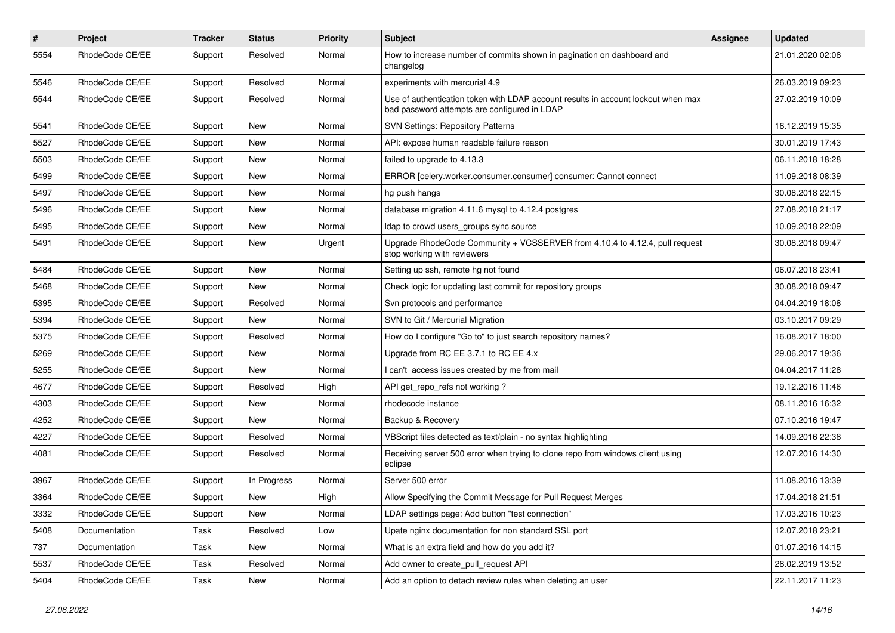| $\#$ | Project         | Tracker | <b>Status</b> | <b>Priority</b> | Subject                                                                                                                           | <b>Assignee</b> | <b>Updated</b>   |
|------|-----------------|---------|---------------|-----------------|-----------------------------------------------------------------------------------------------------------------------------------|-----------------|------------------|
| 5554 | RhodeCode CE/EE | Support | Resolved      | Normal          | How to increase number of commits shown in pagination on dashboard and<br>changelog                                               |                 | 21.01.2020 02:08 |
| 5546 | RhodeCode CE/EE | Support | Resolved      | Normal          | experiments with mercurial 4.9                                                                                                    |                 | 26.03.2019 09:23 |
| 5544 | RhodeCode CE/EE | Support | Resolved      | Normal          | Use of authentication token with LDAP account results in account lockout when max<br>bad password attempts are configured in LDAP |                 | 27.02.2019 10:09 |
| 5541 | RhodeCode CE/EE | Support | New           | Normal          | <b>SVN Settings: Repository Patterns</b>                                                                                          |                 | 16.12.2019 15:35 |
| 5527 | RhodeCode CE/EE | Support | New           | Normal          | API: expose human readable failure reason                                                                                         |                 | 30.01.2019 17:43 |
| 5503 | RhodeCode CE/EE | Support | New           | Normal          | failed to upgrade to 4.13.3                                                                                                       |                 | 06.11.2018 18:28 |
| 5499 | RhodeCode CE/EE | Support | New           | Normal          | ERROR [celery.worker.consumer.consumer] consumer: Cannot connect                                                                  |                 | 11.09.2018 08:39 |
| 5497 | RhodeCode CE/EE | Support | New           | Normal          | hg push hangs                                                                                                                     |                 | 30.08.2018 22:15 |
| 5496 | RhodeCode CE/EE | Support | New           | Normal          | database migration 4.11.6 mysql to 4.12.4 postgres                                                                                |                 | 27.08.2018 21:17 |
| 5495 | RhodeCode CE/EE | Support | New           | Normal          | Idap to crowd users groups sync source                                                                                            |                 | 10.09.2018 22:09 |
| 5491 | RhodeCode CE/EE | Support | New           | Urgent          | Upgrade RhodeCode Community + VCSSERVER from 4.10.4 to 4.12.4, pull request<br>stop working with reviewers                        |                 | 30.08.2018 09:47 |
| 5484 | RhodeCode CE/EE | Support | New           | Normal          | Setting up ssh, remote hg not found                                                                                               |                 | 06.07.2018 23:41 |
| 5468 | RhodeCode CE/EE | Support | New           | Normal          | Check logic for updating last commit for repository groups                                                                        |                 | 30.08.2018 09:47 |
| 5395 | RhodeCode CE/EE | Support | Resolved      | Normal          | Svn protocols and performance                                                                                                     |                 | 04.04.2019 18:08 |
| 5394 | RhodeCode CE/EE | Support | New           | Normal          | SVN to Git / Mercurial Migration                                                                                                  |                 | 03.10.2017 09:29 |
| 5375 | RhodeCode CE/EE | Support | Resolved      | Normal          | How do I configure "Go to" to just search repository names?                                                                       |                 | 16.08.2017 18:00 |
| 5269 | RhodeCode CE/EE | Support | New           | Normal          | Upgrade from RC EE 3.7.1 to RC EE 4.x                                                                                             |                 | 29.06.2017 19:36 |
| 5255 | RhodeCode CE/EE | Support | <b>New</b>    | Normal          | I can't access issues created by me from mail                                                                                     |                 | 04.04.2017 11:28 |
| 4677 | RhodeCode CE/EE | Support | Resolved      | High            | API get repo refs not working?                                                                                                    |                 | 19.12.2016 11:46 |
| 4303 | RhodeCode CE/EE | Support | <b>New</b>    | Normal          | rhodecode instance                                                                                                                |                 | 08.11.2016 16:32 |
| 4252 | RhodeCode CE/EE | Support | New           | Normal          | Backup & Recovery                                                                                                                 |                 | 07.10.2016 19:47 |
| 4227 | RhodeCode CE/EE | Support | Resolved      | Normal          | VBScript files detected as text/plain - no syntax highlighting                                                                    |                 | 14.09.2016 22:38 |
| 4081 | RhodeCode CE/EE | Support | Resolved      | Normal          | Receiving server 500 error when trying to clone repo from windows client using<br>eclipse                                         |                 | 12.07.2016 14:30 |
| 3967 | RhodeCode CE/EE | Support | In Progress   | Normal          | Server 500 error                                                                                                                  |                 | 11.08.2016 13:39 |
| 3364 | RhodeCode CE/EE | Support | New           | High            | Allow Specifying the Commit Message for Pull Request Merges                                                                       |                 | 17.04.2018 21:51 |
| 3332 | RhodeCode CE/EE | Support | New           | Normal          | LDAP settings page: Add button "test connection"                                                                                  |                 | 17.03.2016 10:23 |
| 5408 | Documentation   | Task    | Resolved      | Low             | Upate nginx documentation for non standard SSL port                                                                               |                 | 12.07.2018 23:21 |
| 737  | Documentation   | Task    | New           | Normal          | What is an extra field and how do you add it?                                                                                     |                 | 01.07.2016 14:15 |
| 5537 | RhodeCode CE/EE | Task    | Resolved      | Normal          | Add owner to create_pull_request API                                                                                              |                 | 28.02.2019 13:52 |
| 5404 | RhodeCode CE/EE | Task    | New           | Normal          | Add an option to detach review rules when deleting an user                                                                        |                 | 22.11.2017 11:23 |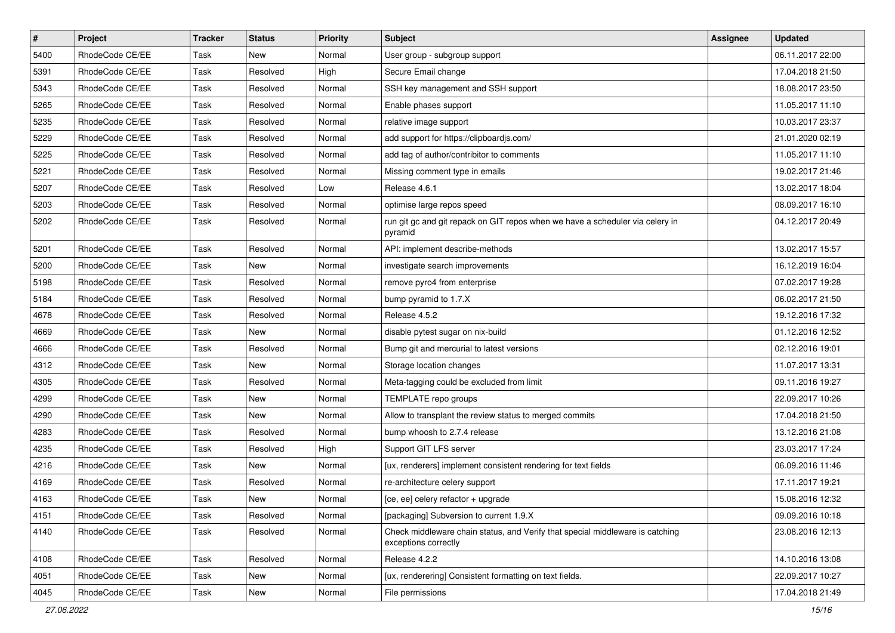| $\vert$ # | Project         | <b>Tracker</b> | <b>Status</b> | <b>Priority</b> | <b>Subject</b>                                                                                        | <b>Assignee</b> | <b>Updated</b>   |
|-----------|-----------------|----------------|---------------|-----------------|-------------------------------------------------------------------------------------------------------|-----------------|------------------|
| 5400      | RhodeCode CE/EE | Task           | New           | Normal          | User group - subgroup support                                                                         |                 | 06.11.2017 22:00 |
| 5391      | RhodeCode CE/EE | Task           | Resolved      | High            | Secure Email change                                                                                   |                 | 17.04.2018 21:50 |
| 5343      | RhodeCode CE/EE | Task           | Resolved      | Normal          | SSH key management and SSH support                                                                    |                 | 18.08.2017 23:50 |
| 5265      | RhodeCode CE/EE | Task           | Resolved      | Normal          | Enable phases support                                                                                 |                 | 11.05.2017 11:10 |
| 5235      | RhodeCode CE/EE | Task           | Resolved      | Normal          | relative image support                                                                                |                 | 10.03.2017 23:37 |
| 5229      | RhodeCode CE/EE | Task           | Resolved      | Normal          | add support for https://clipboardjs.com/                                                              |                 | 21.01.2020 02:19 |
| 5225      | RhodeCode CE/EE | Task           | Resolved      | Normal          | add tag of author/contribitor to comments                                                             |                 | 11.05.2017 11:10 |
| 5221      | RhodeCode CE/EE | Task           | Resolved      | Normal          | Missing comment type in emails                                                                        |                 | 19.02.2017 21:46 |
| 5207      | RhodeCode CE/EE | Task           | Resolved      | Low             | Release 4.6.1                                                                                         |                 | 13.02.2017 18:04 |
| 5203      | RhodeCode CE/EE | Task           | Resolved      | Normal          | optimise large repos speed                                                                            |                 | 08.09.2017 16:10 |
| 5202      | RhodeCode CE/EE | Task           | Resolved      | Normal          | run git gc and git repack on GIT repos when we have a scheduler via celery in<br>pyramid              |                 | 04.12.2017 20:49 |
| 5201      | RhodeCode CE/EE | Task           | Resolved      | Normal          | API: implement describe-methods                                                                       |                 | 13.02.2017 15:57 |
| 5200      | RhodeCode CE/EE | Task           | New           | Normal          | investigate search improvements                                                                       |                 | 16.12.2019 16:04 |
| 5198      | RhodeCode CE/EE | Task           | Resolved      | Normal          | remove pyro4 from enterprise                                                                          |                 | 07.02.2017 19:28 |
| 5184      | RhodeCode CE/EE | Task           | Resolved      | Normal          | bump pyramid to 1.7.X                                                                                 |                 | 06.02.2017 21:50 |
| 4678      | RhodeCode CE/EE | Task           | Resolved      | Normal          | Release 4.5.2                                                                                         |                 | 19.12.2016 17:32 |
| 4669      | RhodeCode CE/EE | Task           | New           | Normal          | disable pytest sugar on nix-build                                                                     |                 | 01.12.2016 12:52 |
| 4666      | RhodeCode CE/EE | Task           | Resolved      | Normal          | Bump git and mercurial to latest versions                                                             |                 | 02.12.2016 19:01 |
| 4312      | RhodeCode CE/EE | Task           | New           | Normal          | Storage location changes                                                                              |                 | 11.07.2017 13:31 |
| 4305      | RhodeCode CE/EE | Task           | Resolved      | Normal          | Meta-tagging could be excluded from limit                                                             |                 | 09.11.2016 19:27 |
| 4299      | RhodeCode CE/EE | Task           | New           | Normal          | TEMPLATE repo groups                                                                                  |                 | 22.09.2017 10:26 |
| 4290      | RhodeCode CE/EE | Task           | New           | Normal          | Allow to transplant the review status to merged commits                                               |                 | 17.04.2018 21:50 |
| 4283      | RhodeCode CE/EE | Task           | Resolved      | Normal          | bump whoosh to 2.7.4 release                                                                          |                 | 13.12.2016 21:08 |
| 4235      | RhodeCode CE/EE | Task           | Resolved      | High            | Support GIT LFS server                                                                                |                 | 23.03.2017 17:24 |
| 4216      | RhodeCode CE/EE | Task           | <b>New</b>    | Normal          | [ux, renderers] implement consistent rendering for text fields                                        |                 | 06.09.2016 11:46 |
| 4169      | RhodeCode CE/EE | Task           | Resolved      | Normal          | re-architecture celery support                                                                        |                 | 17.11.2017 19:21 |
| 4163      | RhodeCode CE/EE | Task           | New           | Normal          | [ce, ee] celery refactor + upgrade                                                                    |                 | 15.08.2016 12:32 |
| 4151      | RhodeCode CE/EE | Task           | Resolved      | Normal          | [packaging] Subversion to current 1.9.X                                                               |                 | 09.09.2016 10:18 |
| 4140      | RhodeCode CE/EE | Task           | Resolved      | Normal          | Check middleware chain status, and Verify that special middleware is catching<br>exceptions correctly |                 | 23.08.2016 12:13 |
| 4108      | RhodeCode CE/EE | Task           | Resolved      | Normal          | Release 4.2.2                                                                                         |                 | 14.10.2016 13:08 |
| 4051      | RhodeCode CE/EE | Task           | New           | Normal          | [ux, renderering] Consistent formatting on text fields.                                               |                 | 22.09.2017 10:27 |
| 4045      | RhodeCode CE/EE | Task           | New           | Normal          | File permissions                                                                                      |                 | 17.04.2018 21:49 |